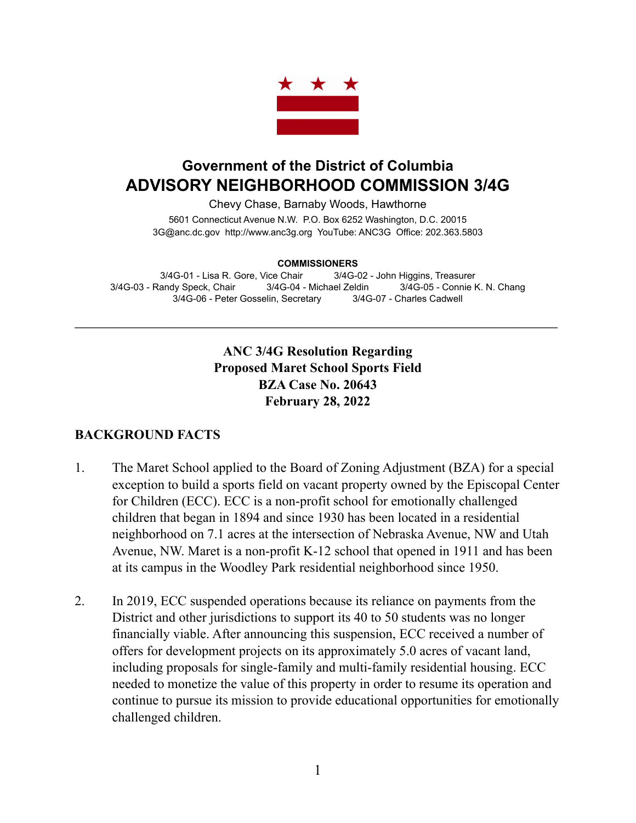

# **Government of the District of Columbia ADVISORY NEIGHBORHOOD COMMISSION 3/4G**

Chevy Chase, Barnaby Woods, Hawthorne

5601 Connecticut Avenue N.W. P.O. Box 6252 Washington, D.C. 20015 3G@anc.dc.gov <http://www.anc3g.org>YouTube: ANC3G Office: 202.363.5803

#### **COMMISSIONERS**

3/4G-01 - Lisa R. Gore, Vice Chair 3/4G-02 - John Higgins, Treasurer 3/4G-03 - Randy Speck, Chair 3/4G-04 - Michael Zeldin 3/4G-05 - Connie K. N. Chang 3/4G-06 - Peter Gosselin, Secretary 3/4G-07 - Charles Cadwell

\_\_\_\_\_\_\_\_\_\_\_\_\_\_\_\_\_\_\_\_\_\_\_\_\_\_\_\_\_\_\_\_\_\_\_\_\_\_\_\_\_\_\_\_\_\_\_\_\_\_\_\_\_\_\_\_\_\_\_\_\_\_\_\_\_\_\_\_\_\_\_\_\_\_\_\_

### **ANC 3/4G Resolution Regarding Proposed Maret School Sports Field BZA Case No. 20643 February 28, 2022**

#### **BACKGROUND FACTS**

- 1. The Maret School applied to the Board of Zoning Adjustment (BZA) for a special exception to build a sports field on vacant property owned by the Episcopal Center for Children (ECC). ECC is a non-profit school for emotionally challenged children that began in 1894 and since 1930 has been located in a residential neighborhood on 7.1 acres at the intersection of Nebraska Avenue, NW and Utah Avenue, NW. Maret is a non-profit K-12 school that opened in 1911 and has been at its campus in the Woodley Park residential neighborhood since 1950.
- 2. In 2019, ECC suspended operations because its reliance on payments from the District and other jurisdictions to support its 40 to 50 students was no longer financially viable. After announcing this suspension, ECC received a number of offers for development projects on its approximately 5.0 acres of vacant land, including proposals for single-family and multi-family residential housing. ECC needed to monetize the value of this property in order to resume its operation and continue to pursue its mission to provide educational opportunities for emotionally challenged children.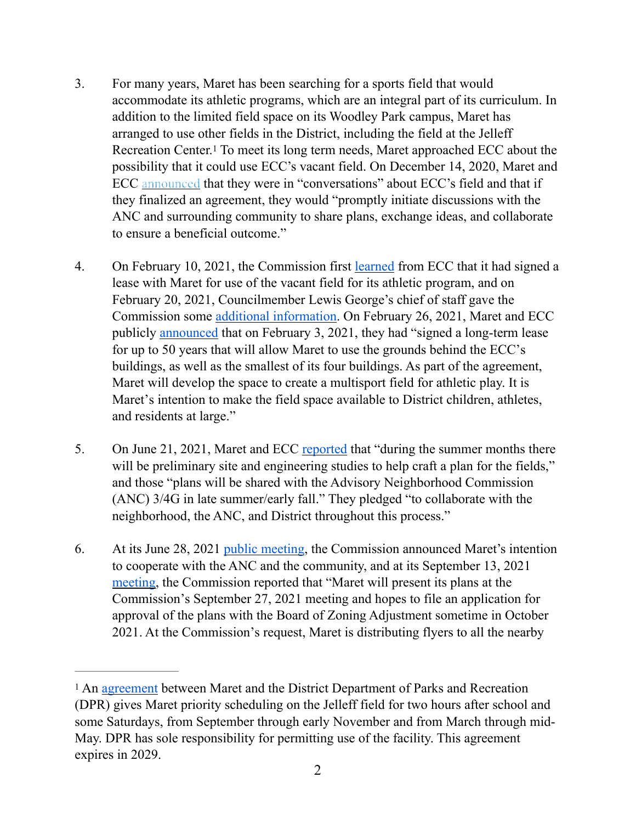- <span id="page-1-1"></span>3. For many years, Maret has been searching for a sports field that would accommodate its athletic programs, which are an integral part of its curriculum. In addition to the limited field space on its Woodley Park campus, Maret has arranged to use other fields in the District, including the field at the Jelleff Recreation Center.<sup>[1](#page-1-0)</sup> To meet its long term needs, Maret approached ECC about the possibility that it could use ECC's vacant field. On December 14, 2020, Maret and ECC [announced](http://eccofdc.org/the-episcopal-center-for-children-is-in-discussions-with-maret-school-about-open-space/) that they were in "conversations" about ECC's field and that if they finalized an agreement, they would "promptly initiate discussions with the ANC and surrounding community to share plans, exchange ideas, and collaborate to ensure a beneficial outcome."
- 4. On February 10, 2021, the Commission first [learned](https://anc3g.org/wp-content/uploads/2022/01/ANC-34G_Disclosure-Statement-re-Maret-ECC-BZA-Application_1-14-22_posted.docx) from ECC that it had signed a lease with Maret for use of the vacant field for its athletic program, and on February 20, 2021, Councilmember Lewis George's chief of staff gave the Commission some [additional information](https://anc3g.org/wp-content/uploads/2022/01/ANC-34G_Disclosure-Statement-re-Maret-ECC-BZA-Application_1-14-22_posted.docx). On February 26, 2021, Maret and ECC publicly [announced](http://eccofdc.org/joint-statement-the-episcopal-center-for-children-and-maret-school-have-signed-lease/) that on February 3, 2021, they had "signed a long-term lease for up to 50 years that will allow Maret to use the grounds behind the ECC's buildings, as well as the smallest of its four buildings. As part of the agreement, Maret will develop the space to create a multisport field for athletic play. It is Maret's intention to make the field space available to District children, athletes, and residents at large."
- 5. On June 21, 2021, Maret and ECC [reported](http://eccofdc.org/joint-statement-the-episcopal-center-for-children-and-maret-agreement-update/) that "during the summer months there will be preliminary site and engineering studies to help craft a plan for the fields," and those "plans will be shared with the Advisory Neighborhood Commission (ANC) 3/4G in late summer/early fall." They pledged "to collaborate with the neighborhood, the ANC, and District throughout this process."
- 6. At its June 28, 2021 [public meeting](https://anc3g.org/wp-content/uploads/2021/09/Minutes-June-28-2021-FINAL.pdf), the Commission announced Maret's intention to cooperate with the ANC and the community, and at its September 13, 2021 [meeting,](https://anc3g.org/wp-content/uploads/2021/11/ANC-34G-minutes-Sept-13-2021-FINAL.pdf) the Commission reported that "Maret will present its plans at the Commission's September 27, 2021 meeting and hopes to file an application for approval of the plans with the Board of Zoning Adjustment sometime in October 2021. At the Commission's request, Maret is distributing flyers to all the nearby

<span id="page-1-0"></span><sup>&</sup>lt;sup>1</sup> An [agreement](https://www.maret.org/athletics/jelleff-field) between Maret and the District Department of Parks and Recreation (DPR) gives Maret priority scheduling on the Jelleff field for two hours after school and some Saturdays, from September through early November and from March through mid-May. DPR has sole responsibility for permitting use of the facility. This agreement expires in 2029.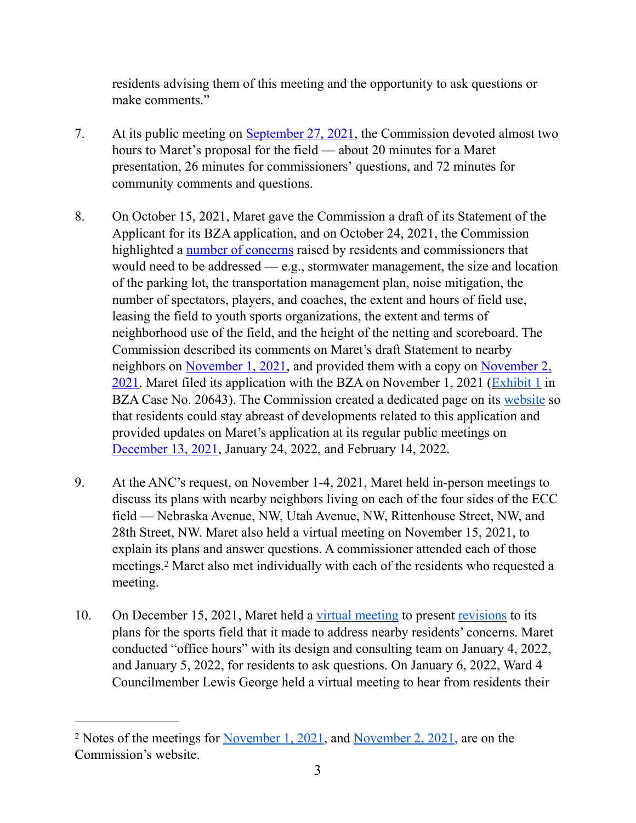residents advising them of this meeting and the opportunity to ask questions or make comments."

- 7. At its public meeting on [September 27, 2021](https://anc3g.org/wp-content/uploads/2021/11/ANC-34G-minutes-Sept-27-2021-FINAL.pdf), the Commission devoted almost two hours to Maret's proposal for the field — about 20 minutes for a Maret presentation, 26 minutes for commissioners' questions, and 72 minutes for community comments and questions.
- 8. On October 15, 2021, Maret gave the Commission a draft of its Statement of the Applicant for its BZA application, and on October 24, 2021, the Commission highlighted a [number of concerns](https://anc3g.org/wp-content/uploads/2022/02/Maret-BZA-Statement-in-Support-of-Athletics-Field-Use-10.15.21-ANC-Comments-10-24-21.docx) raised by residents and commissioners that would need to be addressed — e.g., stormwater management, the size and location of the parking lot, the transportation management plan, noise mitigation, the number of spectators, players, and coaches, the extent and hours of field use, leasing the field to youth sports organizations, the extent and terms of neighborhood use of the field, and the height of the netting and scoreboard. The Commission described its comments on Maret's draft Statement to nearby neighbors on [November 1, 2021,](https://anc3g.org/wp-content/uploads/2021/11/RS-Notes-from-MaretECC-meeting-with-Nebraska-Residents-11-1-21.pdf) and provided them with a copy on [November 2,](https://anc3g.org/wp-content/uploads/2022/02/Maret-BZA-Statement-in-Support-of-Athletics-Field-Use-10.15.21-ANC-Comments-10-24-21.docx)  [2021](https://anc3g.org/wp-content/uploads/2022/02/Maret-BZA-Statement-in-Support-of-Athletics-Field-Use-10.15.21-ANC-Comments-10-24-21.docx). Maret filed its application with the BZA on November 1, 2021 [\(Exhibit 1](https://app.dcoz.dc.gov/Exhibits/2010/BZA/BZATmp1863/Exhibit28.pdf) in BZA Case No. 20643). The Commission created a dedicated page on its [website](https://anc3g.org/task_forces/maret-school-ecc-sports-field/) so that residents could stay abreast of developments related to this application and provided updates on Maret's application at its regular public meetings on [December 13, 2021](https://anc3g.org/wp-content/uploads/2022/01/ANC-34G-minutes-for-Dec-13-2021-Final-SIGNED_corrected-1.pdf), January 24, 2022, and February 14, 2022.
- 9. At the ANC's request, on November 1-4, 2021, Maret held in-person meetings to discuss its plans with nearby neighbors living on each of the four sides of the ECC field — Nebraska Avenue, NW, Utah Avenue, NW, Rittenhouse Street, NW, and 28th Street, NW. Maret also held a virtual meeting on November 15, 2021, to explain its plans and answer questions. A commissioner attended each of those meetings.<sup>[2](#page-2-0)</sup> Maret also met individually with each of the residents who requested a meeting.
- <span id="page-2-1"></span>10. On December 15, 2021, Maret held a [virtual meeting](https://vimeo.com/657527950) to present [revisions](https://www.maret.org/fs/resource-manager/view/ee438a24-e7dd-4f96-a137-8403b8a8fff6) to its plans for the sports field that it made to address nearby residents' concerns. Maret conducted "office hours" with its design and consulting team on January 4, 2022, and January 5, 2022, for residents to ask questions. On January 6, 2022, Ward 4 Councilmember Lewis George held a virtual meeting to hear from residents their

<span id="page-2-0"></span><sup>&</sup>lt;sup>2</sup> Notes of the meetings for <u>[November 1, 2021](https://anc3g.org/wp-content/uploads/2021/11/RS-Notes-from-MaretECC-meeting-with-Nebraska-Residents-11-1-21.pdf)</u>, and [November 2, 2021,](https://anc3g.org/wp-content/uploads/2021/11/RS-Notes-from-MaretECC-Meeting-with-Utah-Residents-11-2-21.pdf) are on the Commission's website.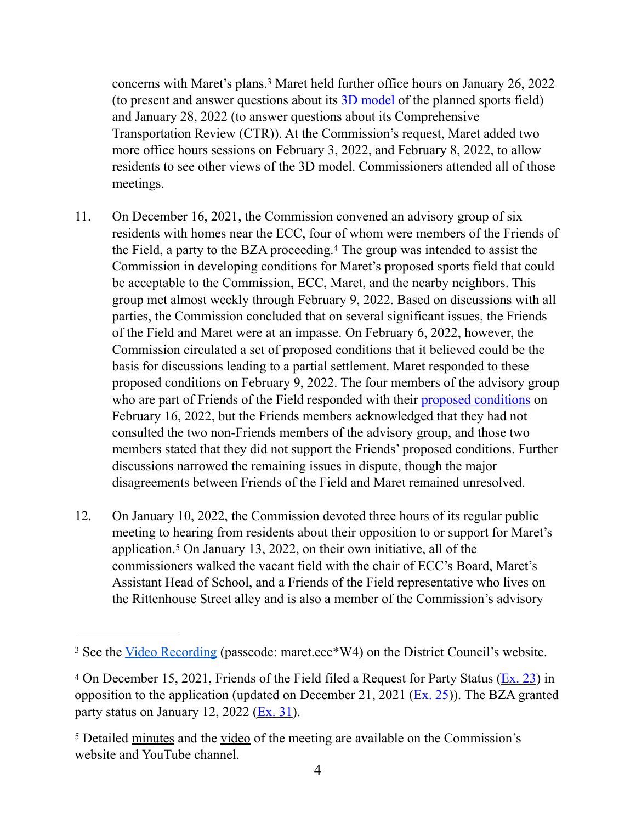<span id="page-3-3"></span>concerns with Maret's plans.<sup>[3](#page-3-0)</sup> Maret held further office hours on January 26, 2022 (to present and answer questions about its  $3D \mod d$  of the planned sports field) and January 28, 2022 (to answer questions about its Comprehensive Transportation Review (CTR)). At the Commission's request, Maret added two more office hours sessions on February 3, 2022, and February 8, 2022, to allow residents to see other views of the 3D model. Commissioners attended all of those meetings.

- <span id="page-3-4"></span>11. On December 16, 2021, the Commission convened an advisory group of six residents with homes near the ECC, four of whom were members of the Friends of the Field, a party to the BZA proceeding.<sup>[4](#page-3-1)</sup> The group was intended to assist the Commission in developing conditions for Maret's proposed sports field that could be acceptable to the Commission, ECC, Maret, and the nearby neighbors. This group met almost weekly through February 9, 2022. Based on discussions with all parties, the Commission concluded that on several significant issues, the Friends of the Field and Maret were at an impasse. On February 6, 2022, however, the Commission circulated a set of proposed conditions that it believed could be the basis for discussions leading to a partial settlement. Maret responded to these proposed conditions on February 9, 2022. The four members of the advisory group who are part of Friends of the Field responded with their [proposed conditions](https://anc3g.org/wp-content/uploads/2022/02/Exhibit-1-DRAFT-AGREEMENT-4.pdf) on February 16, 2022, but the Friends members acknowledged that they had not consulted the two non-Friends members of the advisory group, and those two members stated that they did not support the Friends' proposed conditions. Further discussions narrowed the remaining issues in dispute, though the major disagreements between Friends of the Field and Maret remained unresolved.
- <span id="page-3-5"></span>12. On January 10, 2022, the Commission devoted three hours of its regular public meeting to hearing from residents about their opposition to or support for Maret's application[.](#page-3-2)<sup>[5](#page-3-2)</sup> On January 13, 2022, on their own initiative, all of the commissioners walked the vacant field with the chair of ECC's Board, Maret's Assistant Head of School, and a Friends of the Field representative who lives on the Rittenhouse Street alley and is also a member of the Commission's advisory

<span id="page-3-0"></span><sup>&</sup>lt;sup>3</sup> See the [Video Recording](https://dccouncil-us.zoom.us/rec/share/SQcbIXkFwUZ21acUwEN9Xlif-AjvR0Zbf0gxp5UN5t_1Xy8w1mbkIMw-nt331JuR.SSmt6bRjtmgkT-cu) (passcode: maret.ecc\*W4) on the District Council's website.

<span id="page-3-1"></span><sup>&</sup>lt;sup>[4](#page-3-4)</sup> On December 15, 2021, Friends of the Field filed a Request for Party Status ( $Ex. 23$ ) in opposition to the application (updated on December 21, 2021 ( $Ex. 25$ )). The BZA granted party status on January 12, 2022 ( $Ex. 31$ ).

<span id="page-3-2"></span><sup>&</sup>lt;sup>5</sup> Detailed [minutes](https://anc3g.org/wp-content/uploads/2022/01/ANC-34G-minutes-for-Jan-10-2022-Final-SIGNED_corrected.pdf) and the [video](https://www.youtube.com/watch?v=3BTO22rYUlQ) of the meeting are available on the Commission's website and YouTube channel.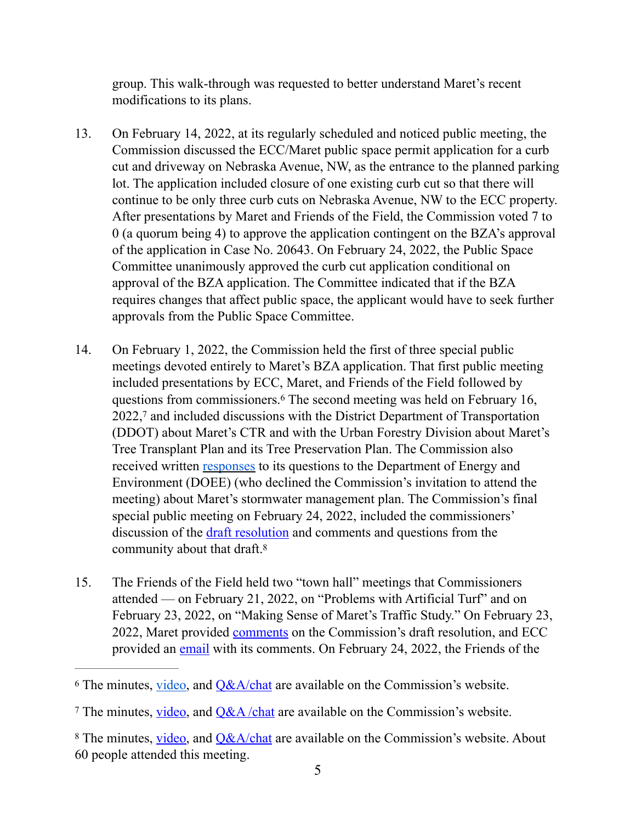group. This walk-through was requested to better understand Maret's recent modifications to its plans.

- 13. On February 14, 2022, at its regularly scheduled and noticed public meeting, the Commission discussed the ECC/Maret public space permit application for a curb cut and driveway on Nebraska Avenue, NW, as the entrance to the planned parking lot. The application included closure of one existing curb cut so that there will continue to be only three curb cuts on Nebraska Avenue, NW to the ECC property. After presentations by Maret and Friends of the Field, the Commission voted 7 to 0 (a quorum being 4) to approve the application contingent on the BZA's approval of the application in Case No. 20643. On February 24, 2022, the Public Space Committee unanimously approved the curb cut application conditional on approval of the BZA application. The Committee indicated that if the BZA requires changes that affect public space, the applicant would have to seek further approvals from the Public Space Committee.
- <span id="page-4-4"></span><span id="page-4-3"></span>14. On February 1, 2022, the Commission held the first of three special public meetings devoted entirely to Maret's BZA application. That first public meeting included presentations by ECC, Maret, and Friends of the Field followed by questions from commissioners[.](#page-4-0)<sup>[6](#page-4-0)</sup> The second meeting was held on February 16, 2022,<sup>[7](#page-4-1)</sup> and included discussions with the District Department of Transportation (DDOT) about Maret's CTR and with the Urban Forestry Division about Maret's Tree Transplant Plan and its Tree Preservation Plan. The Commission also received written [responses](https://anc3g.org/task_forces/maret-school-ecc-sports-field/) to its questions to the Department of Energy and Environment (DOEE) (who declined the Commission's invitation to attend the meeting) about Maret's stormwater management plan. The Commission's final special public meeting on February 24, 2022, included the commissioners' discussion of the [draft resolution](https://anc3g.org/wp-content/uploads/2022/02/ANC-34G-Resolution-re-Maret-BZA-Case-No.-20643-2-24-22-draft-2-21-22-with-Attachment.docx) and comments and questions from the community about that draft[.8](#page-4-2)
- <span id="page-4-5"></span>15. The Friends of the Field held two "town hall" meetings that Commissioners attended — on February 21, 2022, on "Problems with Artificial Turf" and on February 23, 2022, on "Making Sense of Maret's Traffic Study." On February 23, 2022, Maret provided [comments](https://anc3g.org/wp-content/uploads/2022/02/BZA-Application-No.-20643-Applicants-Response-to-ANC-Proposed-Conditions-of-Approval-4889-6218-4208-v.1.pdf) on the Commission's draft resolution, and ECC provided an [email](https://anc3g.org/task_forces/maret-school-ecc-sports-field/) with its comments. On February 24, 2022, the Friends of the

<span id="page-4-0"></span><sup>&</sup>lt;sup>[6](#page-4-3)</sup> The minutes, <u>video</u>, and  $Q&A/\text{chat}$  are available on the Commission's website.

<span id="page-4-1"></span><sup>&</sup>lt;sup>7</sup> The minutes, [video](https://www.youtube.com/watch?v=UyhpBXxe908), and  $Q&A$  /chat are available on the Commission's website.

<span id="page-4-2"></span><sup>&</sup>lt;sup>8</sup> The minutes, [video](https://www.youtube.com/watch?v=gqGZiY2DpHg), and [Q&A/chat](https://anc3g.org/wp-content/uploads/2022/02/ANC34G_Feb-24-2022_Special-Public-Meeting_Maret-BZA-app_ANC-draft-resolution-and-proposed-conditions_QA-chat-log.pdf) are available on the Commission's website. About 60 people attended this meeting.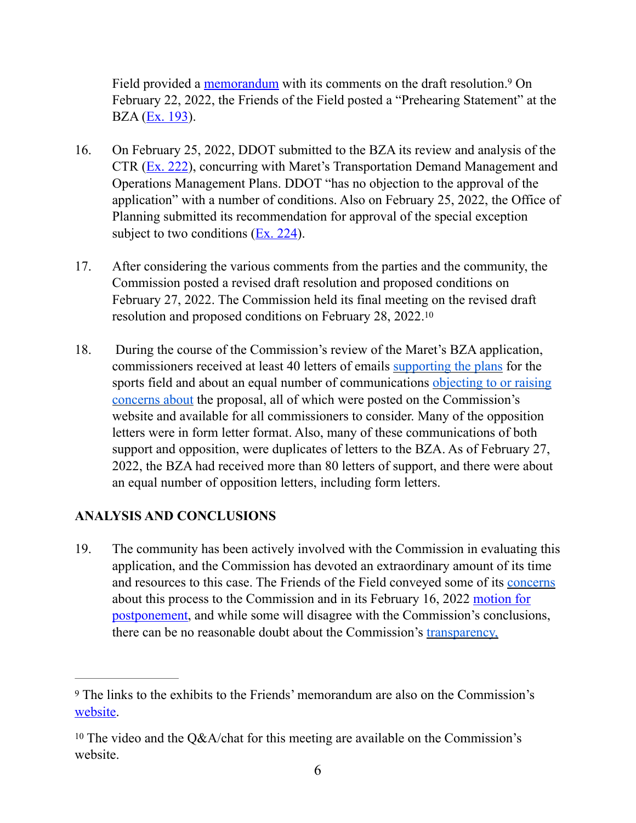<span id="page-5-2"></span>Field provided a [memorandum](https://anc3g.org/wp-content/uploads/2022/02/20220224-FOF-Submission.pdf) with its comments on the draft resolution.<sup>[9](#page-5-0)</sup> On February 22, 2022, the Friends of the Field posted a "Prehearing Statement" at the BZA ([Ex. 193](https://app.dcoz.dc.gov/Exhibits/2010/BZA/20643/Exhibit234.pdf)).

- 16. On February 25, 2022, DDOT submitted to the BZA its review and analysis of the CTR ([Ex. 222](https://app.dcoz.dc.gov/Exhibits/2010/BZA/20643/Exhibit267.pdf)), concurring with Maret's Transportation Demand Management and Operations Management Plans. DDOT "has no objection to the approval of the application" with a number of conditions. Also on February 25, 2022, the Office of Planning submitted its recommendation for approval of the special exception subject to two conditions  $(Ex, 224)$ .
- 17. After considering the various comments from the parties and the community, the Commission posted a revised draft resolution and proposed conditions on February 27, 2022. The Commission held its final meeting on the revised draft resolution and proposed conditions on February 28, 2022.[10](#page-5-1)
- <span id="page-5-3"></span>18. During the course of the Commission's review of the Maret's BZA application, commissioners received at least 40 letters of emails [supporting the plans](https://anc3g.org/wp-content/uploads/2022/02/ECC-FIELD-SUPPORT_update-as-of-Feb-8-2022.pdf) for the sports field and about an equal number of communications objecting to or raising [concerns about](https://anc3g.org/wp-content/uploads/2022/02/ECC-FIELD-OPPOSED_as-of-Feb-4-2022.pdf) the proposal, all of which were posted on the Commission's website and available for all commissioners to consider. Many of the opposition letters were in form letter format. Also, many of these communications of both support and opposition, were duplicates of letters to the BZA. As of February 27, 2022, the BZA had received more than 80 letters of support, and there were about an equal number of opposition letters, including form letters.

### **ANALYSIS AND CONCLUSIONS**

19. The community has been actively involved with the Commission in evaluating this application, and the Commission has devoted an extraordinary amount of its time and resources to this case. The Friends of the Field conveyed some of its [concerns](https://anc3g.org/wp-content/uploads/2022/01/FoF-Position-Statement.pdf) about this process to the Commission and in its February 16, 2022 [motion for](https://app.dcoz.dc.gov/Exhibits/2010/BZA/20643/Exhibit229.pdf)  [postponement,](https://app.dcoz.dc.gov/Exhibits/2010/BZA/20643/Exhibit229.pdf) and while some will disagree with the Commission's conclusions, there can be no reasonable doubt about the Commission's [transparency,](https://anc3g.org/wp-content/uploads/2022/01/ANC-34G_Disclosure-Statement-re-Maret-ECC-BZA-Application_1-14-22_posted.docx) 

<span id="page-5-0"></span>The links to the exhibits to the Friends' memorandum are also on the Commission's [9](#page-5-2) website

<span id="page-5-1"></span><sup>&</sup>lt;sup>10</sup>The video and the Q&A/chat for this meeting are available on the Commission's website.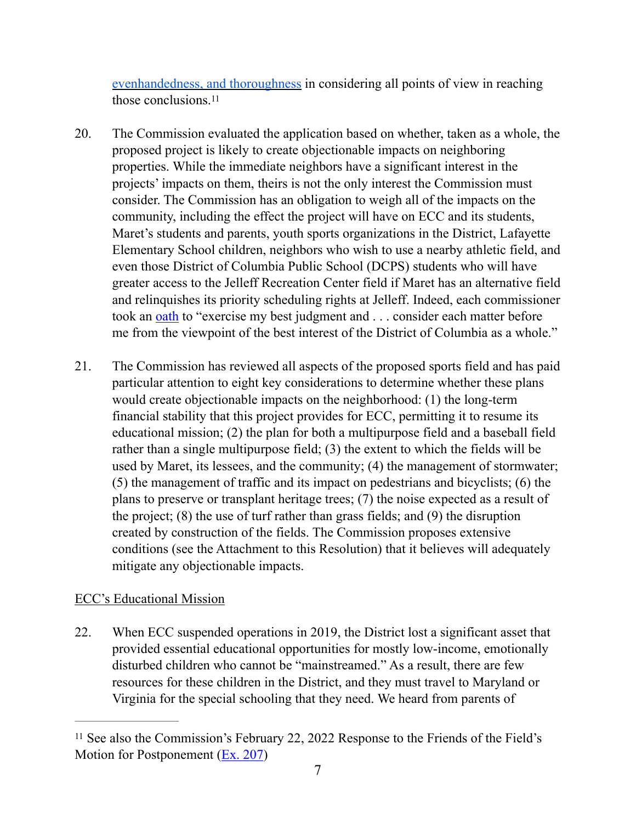<span id="page-6-1"></span>[evenhandedness, and thoroughness](https://anc3g.org/wp-content/uploads/2022/01/ANC-34G_Disclosure-Statement-re-Maret-ECC-BZA-Application_1-14-22_posted.docx) in considering all points of view in reaching those conclusions.<sup>11</sup>

- 20. The Commission evaluated the application based on whether, taken as a whole, the proposed project is likely to create objectionable impacts on neighboring properties. While the immediate neighbors have a significant interest in the projects' impacts on them, theirs is not the only interest the Commission must consider. The Commission has an obligation to weigh all of the impacts on the community, including the effect the project will have on ECC and its students, Maret's students and parents, youth sports organizations in the District, Lafayette Elementary School children, neighbors who wish to use a nearby athletic field, and even those District of Columbia Public School (DCPS) students who will have greater access to the Jelleff Recreation Center field if Maret has an alternative field and relinquishes its priority scheduling rights at Jelleff. Indeed, each commissioner took an [oath](https://dmsasparchment.com/2013/09/24/242/) to "exercise my best judgment and . . . consider each matter before me from the viewpoint of the best interest of the District of Columbia as a whole."
- 21. The Commission has reviewed all aspects of the proposed sports field and has paid particular attention to eight key considerations to determine whether these plans would create objectionable impacts on the neighborhood: (1) the long-term financial stability that this project provides for ECC, permitting it to resume its educational mission; (2) the plan for both a multipurpose field and a baseball field rather than a single multipurpose field; (3) the extent to which the fields will be used by Maret, its lessees, and the community; (4) the management of stormwater; (5) the management of traffic and its impact on pedestrians and bicyclists; (6) the plans to preserve or transplant heritage trees; (7) the noise expected as a result of the project; (8) the use of turf rather than grass fields; and (9) the disruption created by construction of the fields. The Commission proposes extensive conditions (see the Attachment to this Resolution) that it believes will adequately mitigate any objectionable impacts.

### ECC's Educational Mission

22. When ECC suspended operations in 2019, the District lost a significant asset that provided essential educational opportunities for mostly low-income, emotionally disturbed children who cannot be "mainstreamed." As a result, there are few resources for these children in the District, and they must travel to Maryland or Virginia for the special schooling that they need. We heard from parents of

<span id="page-6-0"></span><sup>&</sup>lt;sup>[11](#page-6-1)</sup> See also the Commission's February 22, 2022 Response to the Friends of the Field's Motion for Postponement [\(Ex. 207\)](https://app.dcoz.dc.gov/Exhibits/2010/BZA/20643/Exhibit250.pdf)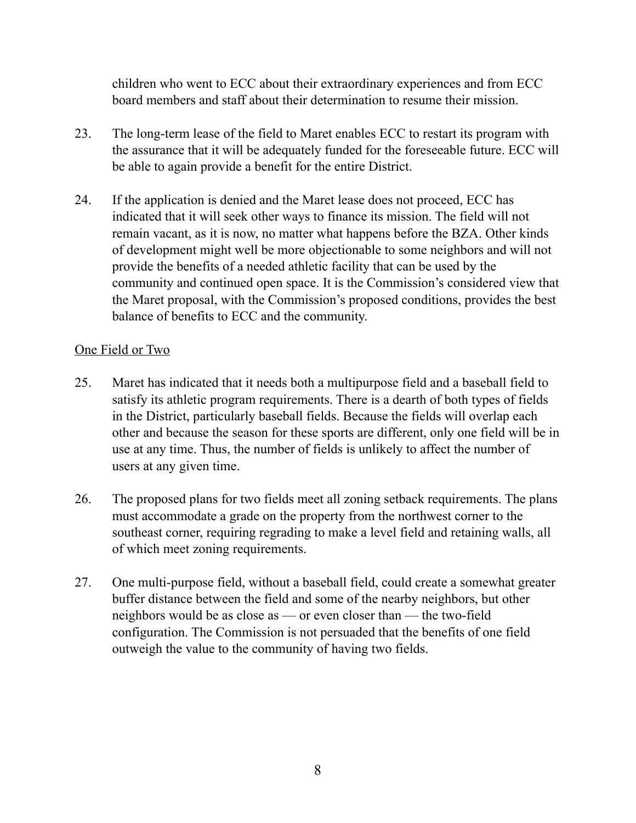children who went to ECC about their extraordinary experiences and from ECC board members and staff about their determination to resume their mission.

- 23. The long-term lease of the field to Maret enables ECC to restart its program with the assurance that it will be adequately funded for the foreseeable future. ECC will be able to again provide a benefit for the entire District.
- 24. If the application is denied and the Maret lease does not proceed, ECC has indicated that it will seek other ways to finance its mission. The field will not remain vacant, as it is now, no matter what happens before the BZA. Other kinds of development might well be more objectionable to some neighbors and will not provide the benefits of a needed athletic facility that can be used by the community and continued open space. It is the Commission's considered view that the Maret proposal, with the Commission's proposed conditions, provides the best balance of benefits to ECC and the community.

### One Field or Two

- 25. Maret has indicated that it needs both a multipurpose field and a baseball field to satisfy its athletic program requirements. There is a dearth of both types of fields in the District, particularly baseball fields. Because the fields will overlap each other and because the season for these sports are different, only one field will be in use at any time. Thus, the number of fields is unlikely to affect the number of users at any given time.
- 26. The proposed plans for two fields meet all zoning setback requirements. The plans must accommodate a grade on the property from the northwest corner to the southeast corner, requiring regrading to make a level field and retaining walls, all of which meet zoning requirements.
- 27. One multi-purpose field, without a baseball field, could create a somewhat greater buffer distance between the field and some of the nearby neighbors, but other neighbors would be as close as — or even closer than — the two-field configuration. The Commission is not persuaded that the benefits of one field outweigh the value to the community of having two fields.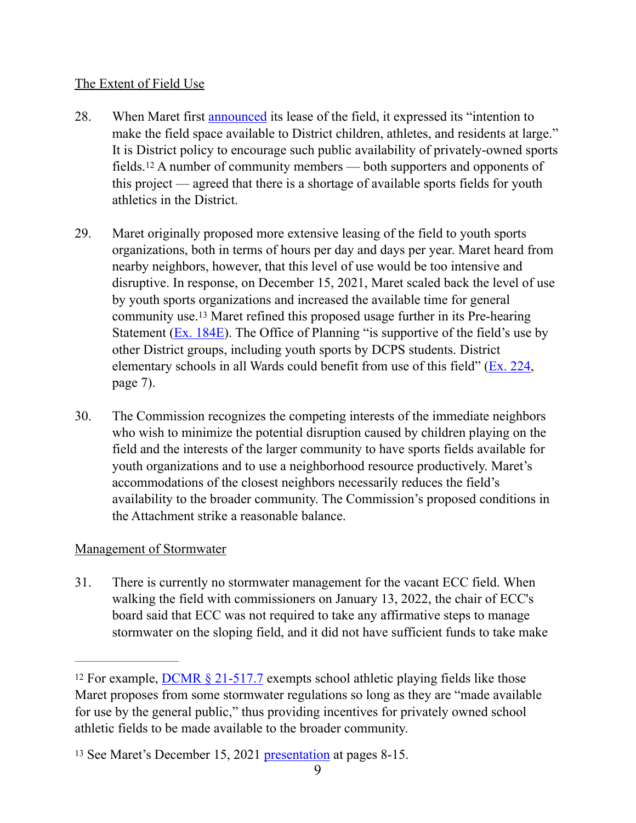### The Extent of Field Use

- <span id="page-8-2"></span>28. When Maret first [announced](http://eccofdc.org/joint-statement-the-episcopal-center-for-children-and-maret-school-have-signed-lease/) its lease of the field, it expressed its "intention to make the field space available to District children, athletes, and residents at large." It is District policy to encourage such public availability of privately-owned sports fields.<sup>[12](#page-8-0)</sup> A number of community members — both supporters and opponents of this project — agreed that there is a shortage of available sports fields for youth athletics in the District.
- <span id="page-8-3"></span>29. Maret originally proposed more extensive leasing of the field to youth sports organizations, both in terms of hours per day and days per year. Maret heard from nearby neighbors, however, that this level of use would be too intensive and disruptive. In response, on December 15, 2021, Maret scaled back the level of use by youth sports organizations and increased the available time for general community use.<sup>[13](#page-8-1)</sup> Maret refined this proposed usage further in its Pre-hearing Statement ( $Ex. 184E$ ). The Office of Planning "is supportive of the field's use by other District groups, including youth sports by DCPS students. District elementary schools in all Wards could benefit from use of this field" ([Ex. 224](https://app.dcoz.dc.gov/Exhibits/2010/BZA/20643/Exhibit269.pdf), page 7).
- 30. The Commission recognizes the competing interests of the immediate neighbors who wish to minimize the potential disruption caused by children playing on the field and the interests of the larger community to have sports fields available for youth organizations and to use a neighborhood resource productively. Maret's accommodations of the closest neighbors necessarily reduces the field's availability to the broader community. The Commission's proposed conditions in the Attachment strike a reasonable balance.

### Management of Stormwater

31. There is currently no stormwater management for the vacant ECC field. When walking the field with commissioners on January 13, 2022, the chair of ECC's board said that ECC was not required to take any affirmative steps to manage stormwater on the sloping field, and it did not have sufficient funds to take make

<span id="page-8-0"></span><sup>&</sup>lt;sup>12</sup>For example, **DCMR** § 21-517.7 exempts school athletic playing fields like those Maret proposes from some stormwater regulations so long as they are "made available for use by the general public," thus providing incentives for privately owned school athletic fields to be made available to the broader community.

<span id="page-8-1"></span><sup>&</sup>lt;sup>13</sup>See Maret's December 15, 2021 [presentation](https://resources.finalsite.net/images/v1639770861/maret/jzmgbjr9ratwwfnf1ydn/Dec-Meeting_PPT_12-17-21_web.pdf) at pages 8-15.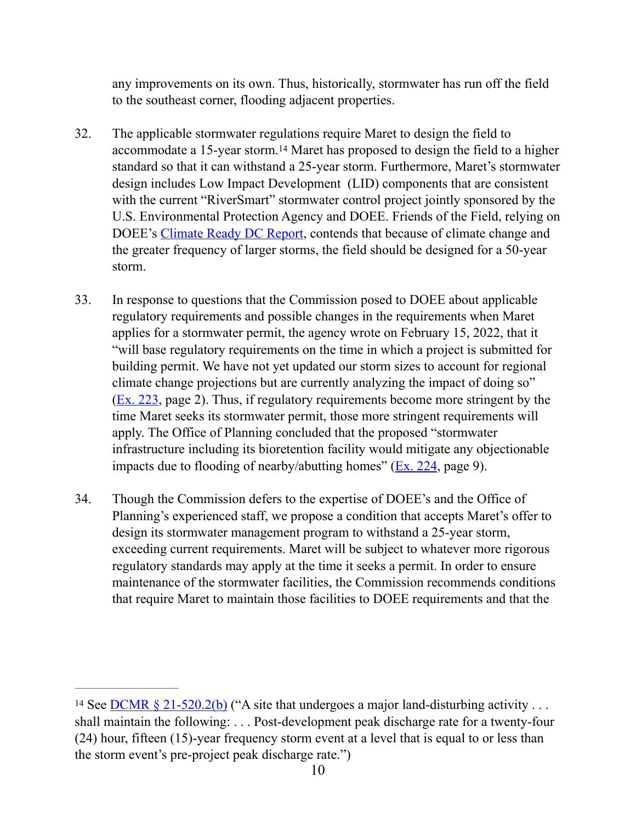<span id="page-9-1"></span>any improvements on its own. Thus, historically, stormwater has run off the field to the southeast corner, flooding adjacent properties.

- 32. The applicable stormwater regulations require Maret to design the field to accommodate a 15-year storm.<sup>[14](#page-9-0)</sup> Maret has proposed to design the field to a higher standard so that it can withstand a 25-year storm. Furthermore, Maret's stormwater design includes Low Impact Development (LID) components that are consistent with the current "RiverSmart" stormwater control project jointly sponsored by the U.S. Environmental Protection Agency and DOEE. Friends of the Field, relying on DOEE's [Climate Ready DC Report](https://doee.dc.gov/sites/default/files/dc/sites/ddoe/service_content/attachments/CRDC-Report-FINAL-Web.pdf), contends that because of climate change and the greater frequency of larger storms, the field should be designed for a 50-year storm.
- 33. In response to questions that the Commission posed to DOEE about applicable regulatory requirements and possible changes in the requirements when Maret applies for a stormwater permit, the agency wrote on February 15, 2022, that it "will base regulatory requirements on the time in which a project is submitted for building permit. We have not yet updated our storm sizes to account for regional climate change projections but are currently analyzing the impact of doing so" [\(Ex. 223,](https://app.dcoz.dc.gov/Exhibits/2010/BZA/20643/Exhibit268.pdf) page 2). Thus, if regulatory requirements become more stringent by the time Maret seeks its stormwater permit, those more stringent requirements will apply. The Office of Planning concluded that the proposed "stormwater infrastructure including its bioretention facility would mitigate any objectionable impacts due to flooding of nearby/abutting homes" ( $Ex. 224$ , page 9).
- 34. Though the Commission defers to the expertise of DOEE's and the Office of Planning's experienced staff, we propose a condition that accepts Maret's offer to design its stormwater management program to withstand a 25-year storm, exceeding current requirements. Maret will be subject to whatever more rigorous regulatory standards may apply at the time it seeks a permit. In order to ensure maintenance of the stormwater facilities, the Commission recommends conditions that require Maret to maintain those facilities to DOEE requirements and that the

<span id="page-9-0"></span><sup>&</sup>lt;sup>14</sup>See <u>DCMR § 21-520.2(b)</u> ("A site that undergoes a major land-disturbing activity ... shall maintain the following: . . . Post-development peak discharge rate for a twenty-four (24) hour, fifteen (15)-year frequency storm event at a level that is equal to or less than the storm event's pre-project peak discharge rate.")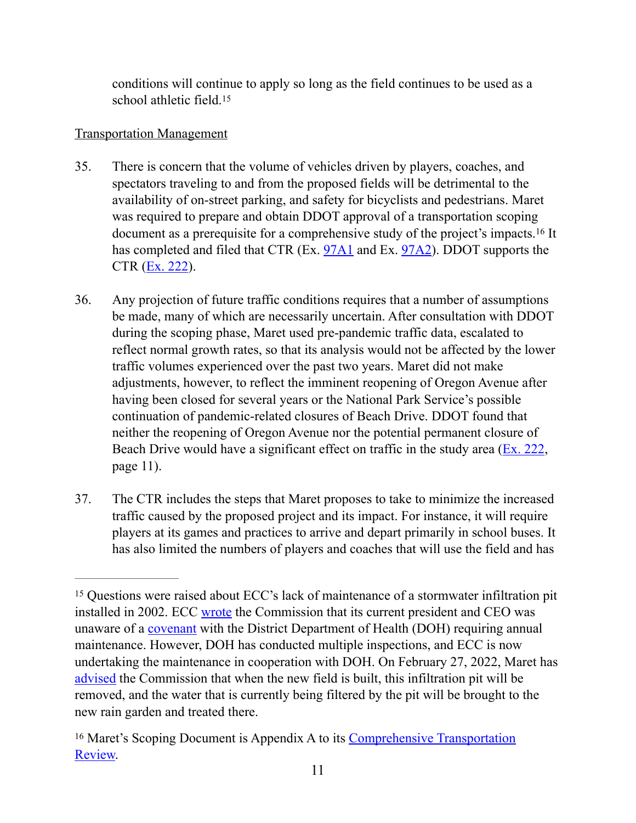<span id="page-10-3"></span><span id="page-10-2"></span>conditions will continue to apply so long as the field continues to be used as a school athletic field.<sup>[15](#page-10-0)</sup>

## Transportation Management

- 35. There is concern that the volume of vehicles driven by players, coaches, and spectators traveling to and from the proposed fields will be detrimental to the availability of on-street parking, and safety for bicyclists and pedestrians. Maret was required to prepare and obtain DDOT approval of a transportation scoping documentas a prerequisite for a comprehensive study of the project's impacts.<sup>[16](#page-10-1)</sup> It has completed and filed that CTR (Ex. [97A1](https://app.dcoz.dc.gov/Exhibits/2010/BZA/20643/Exhibit119.pdf) and Ex. [97A2\)](https://app.dcoz.dc.gov/Exhibits/2010/BZA/20643/Exhibit120.pdf). DDOT supports the  $CTR (Ex. 222)$  $CTR (Ex. 222)$  $CTR (Ex. 222)$ .
- 36. Any projection of future traffic conditions requires that a number of assumptions be made, many of which are necessarily uncertain. After consultation with DDOT during the scoping phase, Maret used pre-pandemic traffic data, escalated to reflect normal growth rates, so that its analysis would not be affected by the lower traffic volumes experienced over the past two years. Maret did not make adjustments, however, to reflect the imminent reopening of Oregon Avenue after having been closed for several years or the National Park Service's possible continuation of pandemic-related closures of Beach Drive. DDOT found that neither the reopening of Oregon Avenue nor the potential permanent closure of Beach Drive would have a significant effect on traffic in the study area  $(E_{X}$ . 222, page 11).
- 37. The CTR includes the steps that Maret proposes to take to minimize the increased traffic caused by the proposed project and its impact. For instance, it will require players at its games and practices to arrive and depart primarily in school buses. It has also limited the numbers of players and coaches that will use the field and has

<span id="page-10-0"></span><sup>&</sup>lt;sup>15</sup>Questions were raised about ECC's lack of maintenance of a stormwater infiltration pit installed in 2002. ECC [wrote](https://anc3g.org/wp-content/uploads/2022/02/ECC-Letter-Letterhead-Infiltration-Pit.pdf) the Commission that its current president and CEO was unaware of a [covenant](https://anc3g.org/wp-content/uploads/2022/02/Covenant-ECC-stormwater-management-09.14.2002.pdf) with the District Department of Health (DOH) requiring annual maintenance. However, DOH has conducted multiple inspections, and ECC is now undertaking the maintenance in cooperation with DOH. On February 27, 2022, Maret has [advised](https://anc3g.org/task_forces/maret-school-ecc-sports-field/) the Commission that when the new field is built, this infiltration pit will be removed, and the water that is currently being filtered by the pit will be brought to the new rain garden and treated there.

<span id="page-10-1"></span><sup>&</sup>lt;sup>16</sup>Maret's Scoping Document is Appendix A to its Comprehensive Transportation [Review.](https://resources.finalsite.net/images/v1643032853/maret/yqrct0hmximkojlsmwdw/MaretBallFieldsFinalCTR1-19-22withAppendices.pdf)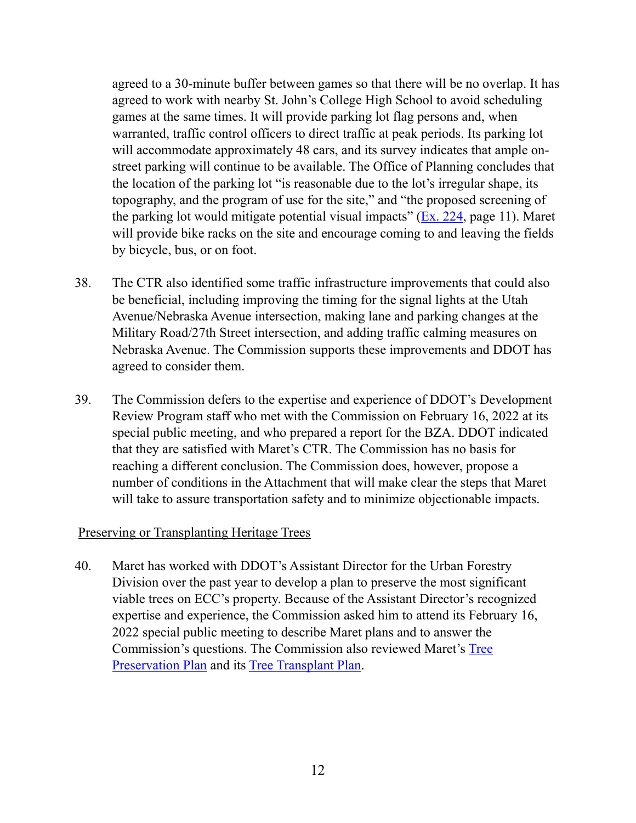agreed to a 30-minute buffer between games so that there will be no overlap. It has agreed to work with nearby St. John's College High School to avoid scheduling games at the same times. It will provide parking lot flag persons and, when warranted, traffic control officers to direct traffic at peak periods. Its parking lot will accommodate approximately 48 cars, and its survey indicates that ample onstreet parking will continue to be available. The Office of Planning concludes that the location of the parking lot "is reasonable due to the lot's irregular shape, its topography, and the program of use for the site," and "the proposed screening of the parking lot would mitigate potential visual impacts" ( $Ex. 224$ , page 11). Maret will provide bike racks on the site and encourage coming to and leaving the fields by bicycle, bus, or on foot.

- 38. The CTR also identified some traffic infrastructure improvements that could also be beneficial, including improving the timing for the signal lights at the Utah Avenue/Nebraska Avenue intersection, making lane and parking changes at the Military Road/27th Street intersection, and adding traffic calming measures on Nebraska Avenue. The Commission supports these improvements and DDOT has agreed to consider them.
- 39. The Commission defers to the expertise and experience of DDOT's Development Review Program staff who met with the Commission on February 16, 2022 at its special public meeting, and who prepared a report for the BZA. DDOT indicated that they are satisfied with Maret's CTR. The Commission has no basis for reaching a different conclusion. The Commission does, however, propose a number of conditions in the Attachment that will make clear the steps that Maret will take to assure transportation safety and to minimize objectionable impacts.

#### Preserving or Transplanting Heritage Trees

40. Maret has worked with DDOT's Assistant Director for the Urban Forestry Division over the past year to develop a plan to preserve the most significant viable trees on ECC's property. Because of the Assistant Director's recognized expertise and experience, the Commission asked him to attend its February 16, 2022 special public meeting to describe Maret plans and to answer the Commission's questions. The Commission also reviewed Maret's [Tree](https://resources.finalsite.net/images/v1644362033/maret/w8u3aifthagwvbvemnzz/TreePreservationPlan.pdf)  [Preservation Plan](https://resources.finalsite.net/images/v1644362033/maret/w8u3aifthagwvbvemnzz/TreePreservationPlan.pdf) and its [Tree Transplant Plan.](https://resources.finalsite.net/images/v1643819554/maret/iwhni7th9p2fdgex7czu/20220117_ecc_transplant_plan_3108901-reduced.pdf)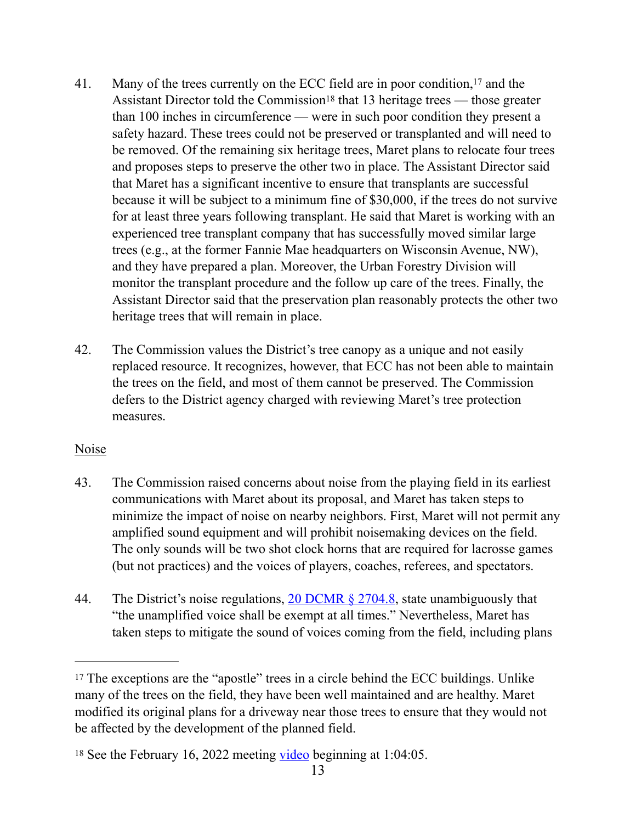- <span id="page-12-3"></span><span id="page-12-2"></span>41. Many of the trees currently on the ECC field are in poor condition,  $17$  and the Assistant Director told the Commission<sup>[18](#page-12-1)</sup> that 13 heritage trees — those greater than 100 inches in circumference — were in such poor condition they present a safety hazard. These trees could not be preserved or transplanted and will need to be removed. Of the remaining six heritage trees, Maret plans to relocate four trees and proposes steps to preserve the other two in place. The Assistant Director said that Maret has a significant incentive to ensure that transplants are successful because it will be subject to a minimum fine of \$30,000, if the trees do not survive for at least three years following transplant. He said that Maret is working with an experienced tree transplant company that has successfully moved similar large trees (e.g., at the former Fannie Mae headquarters on Wisconsin Avenue, NW), and they have prepared a plan. Moreover, the Urban Forestry Division will monitor the transplant procedure and the follow up care of the trees. Finally, the Assistant Director said that the preservation plan reasonably protects the other two heritage trees that will remain in place.
- 42. The Commission values the District's tree canopy as a unique and not easily replaced resource. It recognizes, however, that ECC has not been able to maintain the trees on the field, and most of them cannot be preserved. The Commission defers to the District agency charged with reviewing Maret's tree protection measures.

#### Noise

- 43. The Commission raised concerns about noise from the playing field in its earliest communications with Maret about its proposal, and Maret has taken steps to minimize the impact of noise on nearby neighbors. First, Maret will not permit any amplified sound equipment and will prohibit noisemaking devices on the field. The only sounds will be two shot clock horns that are required for lacrosse games (but not practices) and the voices of players, coaches, referees, and spectators.
- 44. The District's noise regulations, [20 DCMR § 2704.8,](http://dcrules.elaws.us/dcmr/20-2704) state unambiguously that "the unamplified voice shall be exempt at all times." Nevertheless, Maret has taken steps to mitigate the sound of voices coming from the field, including plans

<span id="page-12-0"></span><sup>&</sup>lt;sup>17</sup>The exceptions are the "apostle" trees in a circle behind the ECC buildings. Unlike many of the trees on the field, they have been well maintained and are healthy. Maret modified its original plans for a driveway near those trees to ensure that they would not be affected by the development of the planned field.

<span id="page-12-1"></span><sup>&</sup>lt;sup>18</sup> See the February 16, 2022 meeting [video](https://www.youtube.com/watch?v=UyhpBXxe908) beginning at 1:04:05.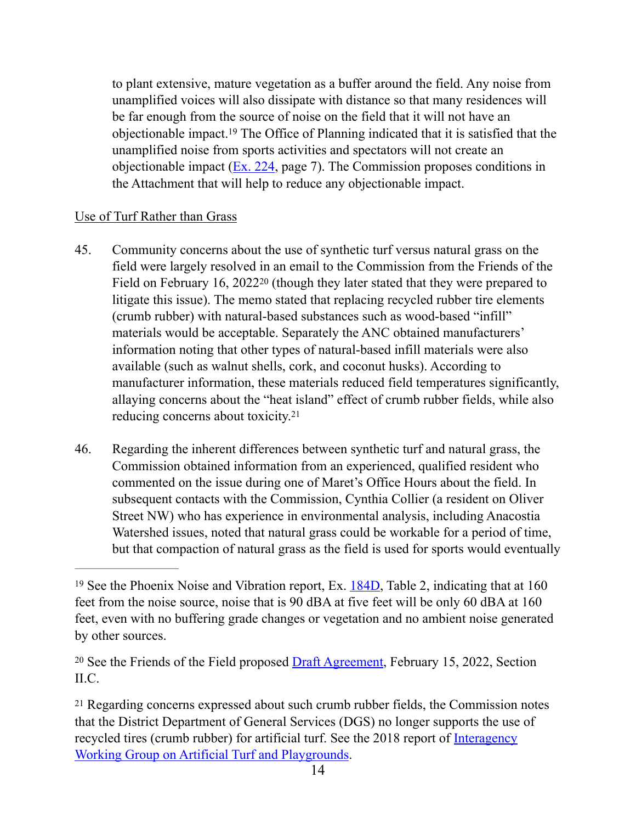<span id="page-13-3"></span>to plant extensive, mature vegetation as a buffer around the field. Any noise from unamplified voices will also dissipate with distance so that many residences will be far enough from the source of noise on the field that it will not have an objectionableimpact.<sup>[19](#page-13-0)</sup> The Office of Planning indicated that it is satisfied that the unamplified noise from sports activities and spectators will not create an objectionable impact [\(Ex. 224,](https://app.dcoz.dc.gov/Exhibits/2010/BZA/20643/Exhibit269.pdf) page 7). The Commission proposes conditions in the Attachment that will help to reduce any objectionable impact.

### Use of Turf Rather than Grass

- <span id="page-13-4"></span>45. Community concerns about the use of synthetic turf versus natural grass on the field were largely resolved in an email to the Commission from the Friends of the Fieldon February 16,  $2022^{20}$  $2022^{20}$  (though they later stated that they were prepared to litigate this issue). The memo stated that replacing recycled rubber tire elements (crumb rubber) with natural-based substances such as wood-based "infill" materials would be acceptable. Separately the ANC obtained manufacturers' information noting that other types of natural-based infill materials were also available (such as walnut shells, cork, and coconut husks). According to manufacturer information, these materials reduced field temperatures significantly, allaying concerns about the "heat island" effect of crumb rubber fields, while also reducing concerns about toxicity[.21](#page-13-2)
- <span id="page-13-5"></span>46. Regarding the inherent differences between synthetic turf and natural grass, the Commission obtained information from an experienced, qualified resident who commented on the issue during one of Maret's Office Hours about the field. In subsequent contacts with the Commission, Cynthia Collier (a resident on Oliver Street NW) who has experience in environmental analysis, including Anacostia Watershed issues, noted that natural grass could be workable for a period of time, but that compaction of natural grass as the field is used for sports would eventually

<span id="page-13-1"></span><sup>20</sup>See the Friends of the Field proposed  $D \nvert A$  greement, February 15, [20](#page-13-4)22, Section II.C.

<span id="page-13-0"></span><sup>&</sup>lt;sup>19</sup>See the Phoenix Noise and Vibration report, Ex.  $184D$ , Table 2, indicating that at 160 feet from the noise source, noise that is 90 dBA at five feet will be only 60 dBA at 160 feet, even with no buffering grade changes or vegetation and no ambient noise generated by other sources.

<span id="page-13-2"></span>Regarding concerns expressed about such crumb rubber fields, the Commission notes [21](#page-13-5) that the District Department of General Services (DGS) no longer supports the use of recycled tires (crumb rubber) for artificial turf. See the 2018 report of [Interagency](https://dgs.dc.gov/page/interagency-working-group-artificial-turf-and-playgrounds)  [Working Group on Artificial Turf and Playgrounds.](https://dgs.dc.gov/page/interagency-working-group-artificial-turf-and-playgrounds)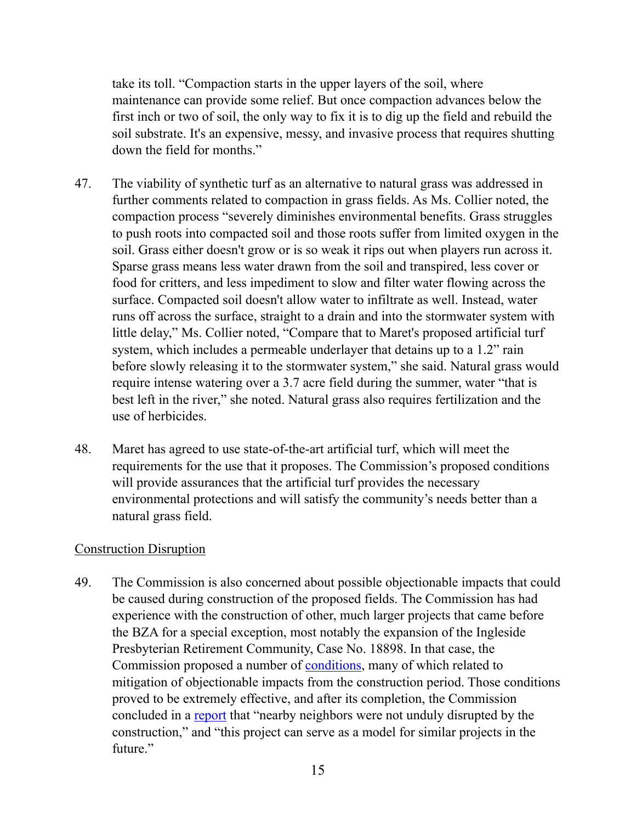take its toll. "Compaction starts in the upper layers of the soil, where maintenance can provide some relief. But once compaction advances below the first inch or two of soil, the only way to fix it is to dig up the field and rebuild the soil substrate. It's an expensive, messy, and invasive process that requires shutting down the field for months."

- 47. The viability of synthetic turf as an alternative to natural grass was addressed in further comments related to compaction in grass fields. As Ms. Collier noted, the compaction process "severely diminishes environmental benefits. Grass struggles to push roots into compacted soil and those roots suffer from limited oxygen in the soil. Grass either doesn't grow or is so weak it rips out when players run across it. Sparse grass means less water drawn from the soil and transpired, less cover or food for critters, and less impediment to slow and filter water flowing across the surface. Compacted soil doesn't allow water to infiltrate as well. Instead, water runs off across the surface, straight to a drain and into the stormwater system with little delay," Ms. Collier noted, "Compare that to Maret's proposed artificial turf system, which includes a permeable underlayer that detains up to a 1.2" rain before slowly releasing it to the stormwater system," she said. Natural grass would require intense watering over a 3.7 acre field during the summer, water "that is best left in the river," she noted. Natural grass also requires fertilization and the use of herbicides.
- 48. Maret has agreed to use state-of-the-art artificial turf, which will meet the requirements for the use that it proposes. The Commission's proposed conditions will provide assurances that the artificial turf provides the necessary environmental protections and will satisfy the community's needs better than a natural grass field.

#### Construction Disruption

49. The Commission is also concerned about possible objectionable impacts that could be caused during construction of the proposed fields. The Commission has had experience with the construction of other, much larger projects that came before the BZA for a special exception, most notably the expansion of the Ingleside Presbyterian Retirement Community, Case No. 18898. In that case, the Commission proposed a number of [conditions](https://app.dcoz.dc.gov/Exhibits/1889/BZA/18898/Exhibit26.pdf), many of which related to mitigation of objectionable impacts from the construction period. Those conditions proved to be extremely effective, and after its completion, the Commission concluded in a [report](https://anc3g.org/wp-content/uploads/2020/11/Report-on-Ingleside-Task-Force-11-17-20.pdf) that "nearby neighbors were not unduly disrupted by the construction," and "this project can serve as a model for similar projects in the future."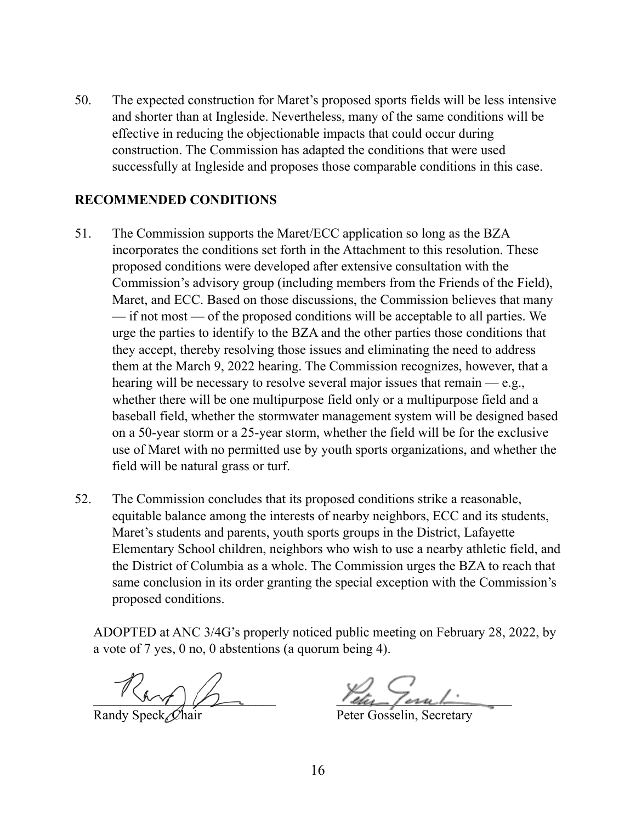50. The expected construction for Maret's proposed sports fields will be less intensive and shorter than at Ingleside. Nevertheless, many of the same conditions will be effective in reducing the objectionable impacts that could occur during construction. The Commission has adapted the conditions that were used successfully at Ingleside and proposes those comparable conditions in this case.

### **RECOMMENDED CONDITIONS**

- 51. The Commission supports the Maret/ECC application so long as the BZA incorporates the conditions set forth in the Attachment to this resolution. These proposed conditions were developed after extensive consultation with the Commission's advisory group (including members from the Friends of the Field), Maret, and ECC. Based on those discussions, the Commission believes that many — if not most — of the proposed conditions will be acceptable to all parties. We urge the parties to identify to the BZA and the other parties those conditions that they accept, thereby resolving those issues and eliminating the need to address them at the March 9, 2022 hearing. The Commission recognizes, however, that a hearing will be necessary to resolve several major issues that remain — e.g., whether there will be one multipurpose field only or a multipurpose field and a baseball field, whether the stormwater management system will be designed based on a 50-year storm or a 25-year storm, whether the field will be for the exclusive use of Maret with no permitted use by youth sports organizations, and whether the field will be natural grass or turf.
- 52. The Commission concludes that its proposed conditions strike a reasonable, equitable balance among the interests of nearby neighbors, ECC and its students, Maret's students and parents, youth sports groups in the District, Lafayette Elementary School children, neighbors who wish to use a nearby athletic field, and the District of Columbia as a whole. The Commission urges the BZA to reach that same conclusion in its order granting the special exception with the Commission's proposed conditions.

ADOPTED at ANC 3/4G's properly noticed public meeting on February 28, 2022, by a vote of 7 yes, 0 no, 0 abstentions (a quorum being 4).

 $\mathcal{L}_{\mathcal{U}}$ 

Randy Speck, Chair Peter Gosselin, Secretary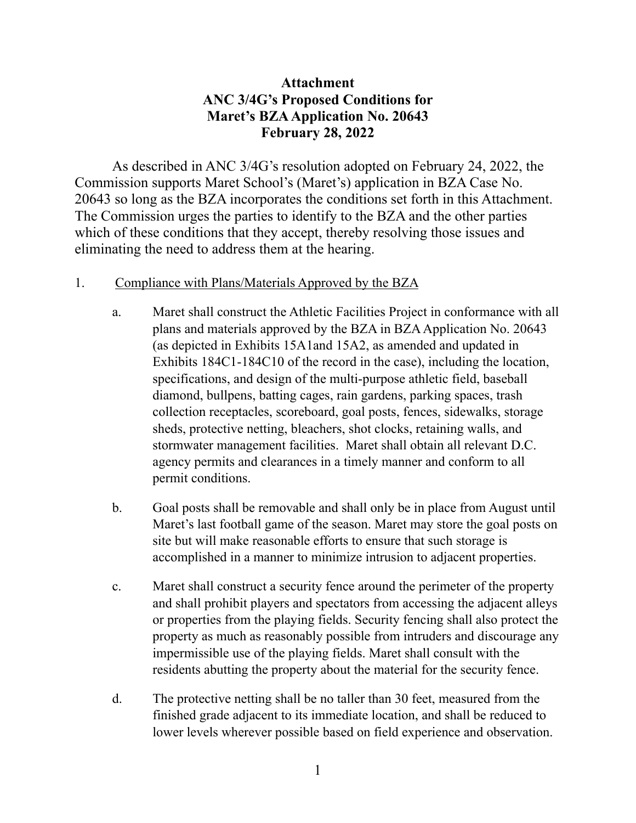### **Attachment ANC 3/4G's Proposed Conditions for Maret's BZA Application No. 20643 February 28, 2022**

As described in ANC 3/4G's resolution adopted on February 24, 2022, the Commission supports Maret School's (Maret's) application in BZA Case No. 20643 so long as the BZA incorporates the conditions set forth in this Attachment. The Commission urges the parties to identify to the BZA and the other parties which of these conditions that they accept, thereby resolving those issues and eliminating the need to address them at the hearing.

#### 1. Compliance with Plans/Materials Approved by the BZA

- a. Maret shall construct the Athletic Facilities Project in conformance with all plans and materials approved by the BZA in BZA Application No. 20643 (as depicted in Exhibits 15A1and 15A2, as amended and updated in Exhibits 184C1-184C10 of the record in the case), including the location, specifications, and design of the multi-purpose athletic field, baseball diamond, bullpens, batting cages, rain gardens, parking spaces, trash collection receptacles, scoreboard, goal posts, fences, sidewalks, storage sheds, protective netting, bleachers, shot clocks, retaining walls, and stormwater management facilities. Maret shall obtain all relevant D.C. agency permits and clearances in a timely manner and conform to all permit conditions.
- b. Goal posts shall be removable and shall only be in place from August until Maret's last football game of the season. Maret may store the goal posts on site but will make reasonable efforts to ensure that such storage is accomplished in a manner to minimize intrusion to adjacent properties.
- c. Maret shall construct a security fence around the perimeter of the property and shall prohibit players and spectators from accessing the adjacent alleys or properties from the playing fields. Security fencing shall also protect the property as much as reasonably possible from intruders and discourage any impermissible use of the playing fields. Maret shall consult with the residents abutting the property about the material for the security fence.
- d. The protective netting shall be no taller than 30 feet, measured from the finished grade adjacent to its immediate location, and shall be reduced to lower levels wherever possible based on field experience and observation.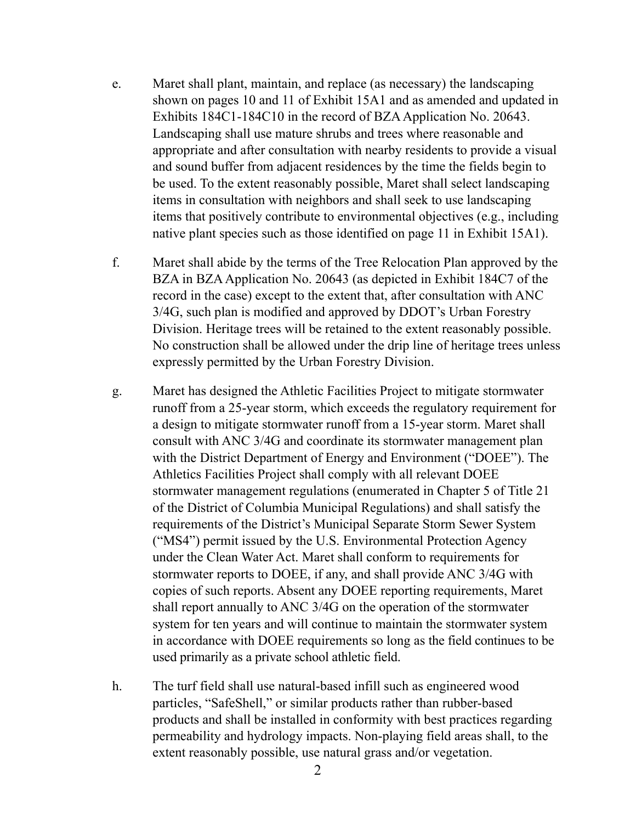- e. Maret shall plant, maintain, and replace (as necessary) the landscaping shown on pages 10 and 11 of Exhibit 15A1 and as amended and updated in Exhibits 184C1-184C10 in the record of BZA Application No. 20643. Landscaping shall use mature shrubs and trees where reasonable and appropriate and after consultation with nearby residents to provide a visual and sound buffer from adjacent residences by the time the fields begin to be used. To the extent reasonably possible, Maret shall select landscaping items in consultation with neighbors and shall seek to use landscaping items that positively contribute to environmental objectives (e.g., including native plant species such as those identified on page 11 in Exhibit 15A1).
- f. Maret shall abide by the terms of the Tree Relocation Plan approved by the BZA in BZA Application No. 20643 (as depicted in Exhibit 184C7 of the record in the case) except to the extent that, after consultation with ANC 3/4G, such plan is modified and approved by DDOT's Urban Forestry Division. Heritage trees will be retained to the extent reasonably possible. No construction shall be allowed under the drip line of heritage trees unless expressly permitted by the Urban Forestry Division.
- g. Maret has designed the Athletic Facilities Project to mitigate stormwater runoff from a 25-year storm, which exceeds the regulatory requirement for a design to mitigate stormwater runoff from a 15-year storm. Maret shall consult with ANC 3/4G and coordinate its stormwater management plan with the District Department of Energy and Environment ("DOEE"). The Athletics Facilities Project shall comply with all relevant DOEE stormwater management regulations (enumerated in Chapter 5 of Title 21 of the District of Columbia Municipal Regulations) and shall satisfy the requirements of the District's Municipal Separate Storm Sewer System ("MS4") permit issued by the U.S. Environmental Protection Agency under the Clean Water Act. Maret shall conform to requirements for stormwater reports to DOEE, if any, and shall provide ANC 3/4G with copies of such reports. Absent any DOEE reporting requirements, Maret shall report annually to ANC 3/4G on the operation of the stormwater system for ten years and will continue to maintain the stormwater system in accordance with DOEE requirements so long as the field continues to be used primarily as a private school athletic field.
- h. The turf field shall use natural-based infill such as engineered wood particles, "SafeShell," or similar products rather than rubber-based products and shall be installed in conformity with best practices regarding permeability and hydrology impacts. Non-playing field areas shall, to the extent reasonably possible, use natural grass and/or vegetation.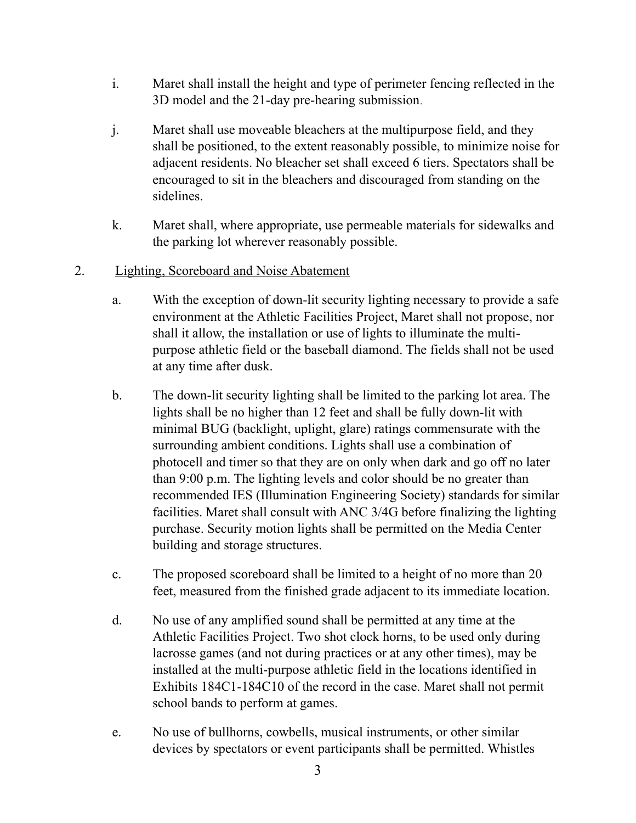- i. Maret shall install the height and type of perimeter fencing reflected in the 3D model and the 21-day pre-hearing submission.
- j. Maret shall use moveable bleachers at the multipurpose field, and they shall be positioned, to the extent reasonably possible, to minimize noise for adjacent residents. No bleacher set shall exceed 6 tiers. Spectators shall be encouraged to sit in the bleachers and discouraged from standing on the sidelines.
- k. Maret shall, where appropriate, use permeable materials for sidewalks and the parking lot wherever reasonably possible.
- 2. Lighting, Scoreboard and Noise Abatement
	- a. With the exception of down-lit security lighting necessary to provide a safe environment at the Athletic Facilities Project, Maret shall not propose, nor shall it allow, the installation or use of lights to illuminate the multipurpose athletic field or the baseball diamond. The fields shall not be used at any time after dusk.
	- b. The down-lit security lighting shall be limited to the parking lot area. The lights shall be no higher than 12 feet and shall be fully down-lit with minimal BUG (backlight, uplight, glare) ratings commensurate with the surrounding ambient conditions. Lights shall use a combination of photocell and timer so that they are on only when dark and go off no later than 9:00 p.m. The lighting levels and color should be no greater than recommended IES (Illumination Engineering Society) standards for similar facilities. Maret shall consult with ANC 3/4G before finalizing the lighting purchase. Security motion lights shall be permitted on the Media Center building and storage structures.
	- c. The proposed scoreboard shall be limited to a height of no more than 20 feet, measured from the finished grade adjacent to its immediate location.
	- d. No use of any amplified sound shall be permitted at any time at the Athletic Facilities Project. Two shot clock horns, to be used only during lacrosse games (and not during practices or at any other times), may be installed at the multi-purpose athletic field in the locations identified in Exhibits 184C1-184C10 of the record in the case. Maret shall not permit school bands to perform at games.
	- e. No use of bullhorns, cowbells, musical instruments, or other similar devices by spectators or event participants shall be permitted. Whistles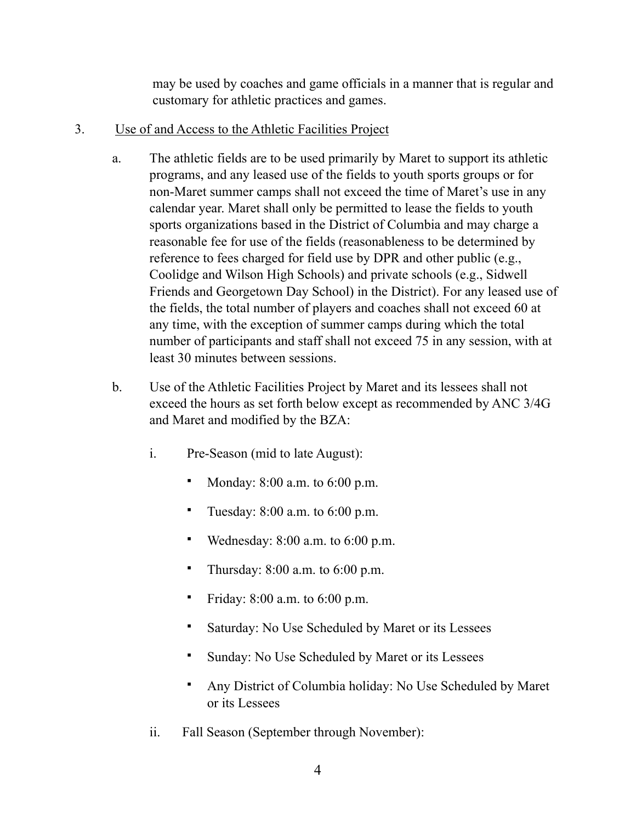may be used by coaches and game officials in a manner that is regular and customary for athletic practices and games.

- 3. Use of and Access to the Athletic Facilities Project
	- a. The athletic fields are to be used primarily by Maret to support its athletic programs, and any leased use of the fields to youth sports groups or for non-Maret summer camps shall not exceed the time of Maret's use in any calendar year. Maret shall only be permitted to lease the fields to youth sports organizations based in the District of Columbia and may charge a reasonable fee for use of the fields (reasonableness to be determined by reference to fees charged for field use by DPR and other public (e.g., Coolidge and Wilson High Schools) and private schools (e.g., Sidwell Friends and Georgetown Day School) in the District). For any leased use of the fields, the total number of players and coaches shall not exceed 60 at any time, with the exception of summer camps during which the total number of participants and staff shall not exceed 75 in any session, with at least 30 minutes between sessions.
	- b. Use of the Athletic Facilities Project by Maret and its lessees shall not exceed the hours as set forth below except as recommended by ANC 3/4G and Maret and modified by the BZA:
		- i. Pre-Season (mid to late August):
			- Monday: 8:00 a.m. to 6:00 p.m.
			- Tuesday: 8:00 a.m. to 6:00 p.m.
			- Wednesday:  $8:00$  a.m. to  $6:00$  p.m.
			- **•** Thursday:  $8:00$  a.m. to  $6:00$  p.m.
			- Friday:  $8:00$  a.m. to  $6:00$  p.m.
			- Saturday: No Use Scheduled by Maret or its Lessees
			- Sunday: No Use Scheduled by Maret or its Lessees
			- Any District of Columbia holiday: No Use Scheduled by Maret or its Lessees
		- ii. Fall Season (September through November):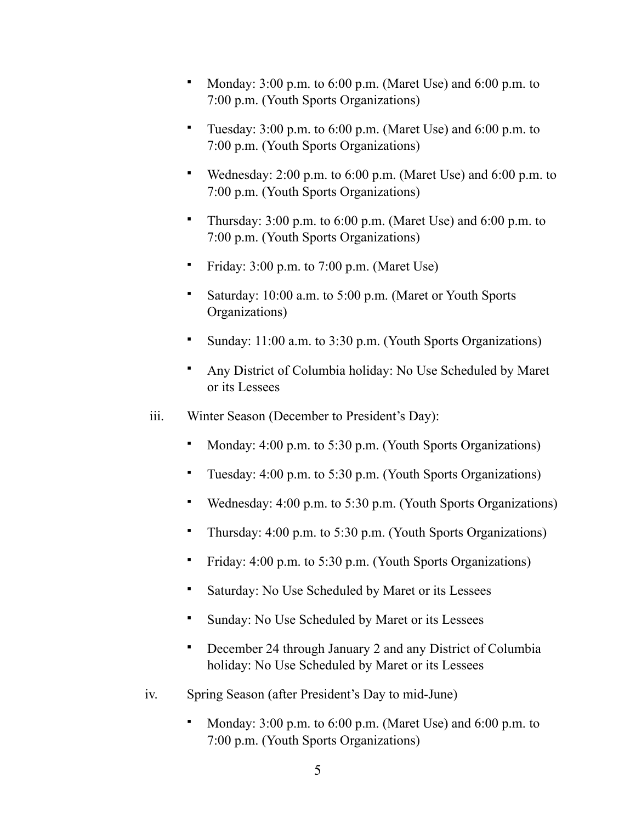- Monday: 3:00 p.m. to 6:00 p.m. (Maret Use) and 6:00 p.m. to 7:00 p.m. (Youth Sports Organizations)
- Tuesday: 3:00 p.m. to 6:00 p.m. (Maret Use) and 6:00 p.m. to 7:00 p.m. (Youth Sports Organizations)
- Wednesday: 2:00 p.m. to 6:00 p.m. (Maret Use) and 6:00 p.m. to 7:00 p.m. (Youth Sports Organizations)
- Thursday:  $3:00$  p.m. to  $6:00$  p.m. (Maret Use) and  $6:00$  p.m. to 7:00 p.m. (Youth Sports Organizations)
- Friday: 3:00 p.m. to 7:00 p.m. (Maret Use)
- **•** Saturday: 10:00 a.m. to 5:00 p.m. (Maret or Youth Sports Organizations)
- Sunday: 11:00 a.m. to 3:30 p.m. (Youth Sports Organizations)
- Any District of Columbia holiday: No Use Scheduled by Maret or its Lessees
- iii. Winter Season (December to President's Day):
	- Monday: 4:00 p.m. to 5:30 p.m. (Youth Sports Organizations)
	- Tuesday: 4:00 p.m. to 5:30 p.m. (Youth Sports Organizations)
	- Wednesday: 4:00 p.m. to 5:30 p.m. (Youth Sports Organizations)
	- Thursday: 4:00 p.m. to 5:30 p.m. (Youth Sports Organizations)
	- Friday: 4:00 p.m. to 5:30 p.m. (Youth Sports Organizations)
	- Saturday: No Use Scheduled by Maret or its Lessees
	- Sunday: No Use Scheduled by Maret or its Lessees
	- December 24 through January 2 and any District of Columbia holiday: No Use Scheduled by Maret or its Lessees
- iv. Spring Season (after President's Day to mid-June)
	- Monday:  $3:00$  p.m. to  $6:00$  p.m. (Maret Use) and  $6:00$  p.m. to 7:00 p.m. (Youth Sports Organizations)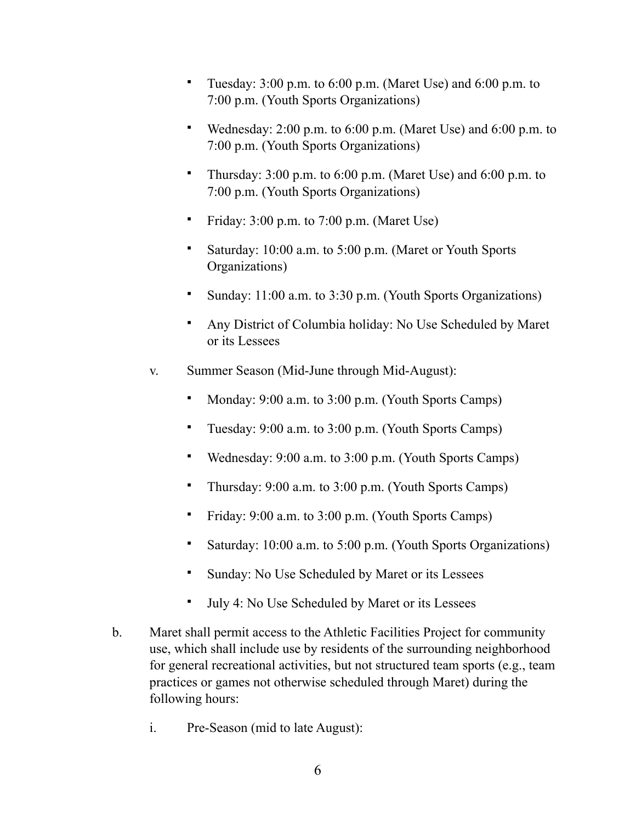- Tuesday: 3:00 p.m. to 6:00 p.m. (Maret Use) and 6:00 p.m. to 7:00 p.m. (Youth Sports Organizations)
- Wednesday: 2:00 p.m. to 6:00 p.m. (Maret Use) and 6:00 p.m. to 7:00 p.m. (Youth Sports Organizations)
- Thursday:  $3:00$  p.m. to  $6:00$  p.m. (Maret Use) and  $6:00$  p.m. to 7:00 p.m. (Youth Sports Organizations)
- Friday: 3:00 p.m. to 7:00 p.m. (Maret Use)
- Saturday: 10:00 a.m. to 5:00 p.m. (Maret or Youth Sports Organizations)
- Sunday: 11:00 a.m. to 3:30 p.m. (Youth Sports Organizations)
- Any District of Columbia holiday: No Use Scheduled by Maret or its Lessees
- v. Summer Season (Mid-June through Mid-August):
	- Monday: 9:00 a.m. to 3:00 p.m. (Youth Sports Camps)
	- Tuesday: 9:00 a.m. to 3:00 p.m. (Youth Sports Camps)
	- Wednesday: 9:00 a.m. to 3:00 p.m. (Youth Sports Camps)
	- Thursday: 9:00 a.m. to 3:00 p.m. (Youth Sports Camps)
	- Friday: 9:00 a.m. to 3:00 p.m. (Youth Sports Camps)
	- Saturday: 10:00 a.m. to 5:00 p.m. (Youth Sports Organizations)
	- Sunday: No Use Scheduled by Maret or its Lessees
	- July 4: No Use Scheduled by Maret or its Lessees
- b. Maret shall permit access to the Athletic Facilities Project for community use, which shall include use by residents of the surrounding neighborhood for general recreational activities, but not structured team sports (e.g., team practices or games not otherwise scheduled through Maret) during the following hours:
	- i. Pre-Season (mid to late August):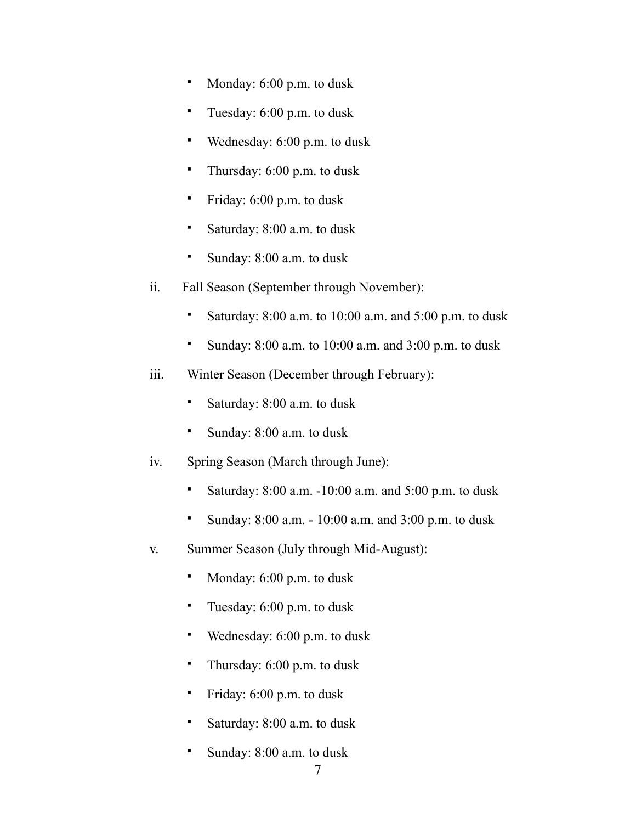- Monday: 6:00 p.m. to dusk
- Tuesday: 6:00 p.m. to dusk
- Wednesday: 6:00 p.m. to dusk
- Thursday:  $6:00$  p.m. to dusk
- Friday: 6:00 p.m. to dusk
- Saturday: 8:00 a.m. to dusk
- Sunday:  $8:00$  a.m. to dusk
- ii. Fall Season (September through November):
	- Saturday: 8:00 a.m. to 10:00 a.m. and 5:00 p.m. to dusk
	- Sunday:  $8:00$  a.m. to  $10:00$  a.m. and  $3:00$  p.m. to dusk
- iii. Winter Season (December through February):
	- Saturday: 8:00 a.m. to dusk
	- Sunday: 8:00 a.m. to dusk
- iv. Spring Season (March through June):
	- **•** Saturday:  $8:00$  a.m.  $-10:00$  a.m. and  $5:00$  p.m. to dusk
	- Sunday: 8:00 a.m. 10:00 a.m. and 3:00 p.m. to dusk
- v. Summer Season (July through Mid-August):
	- Monday: 6:00 p.m. to dusk
	- Tuesday:  $6:00$  p.m. to dusk
	- Wednesday: 6:00 p.m. to dusk
	- Thursday:  $6:00$  p.m. to dusk
	- **•** Friday: 6:00 p.m. to dusk
	- Saturday: 8:00 a.m. to dusk
	- Sunday: 8:00 a.m. to dusk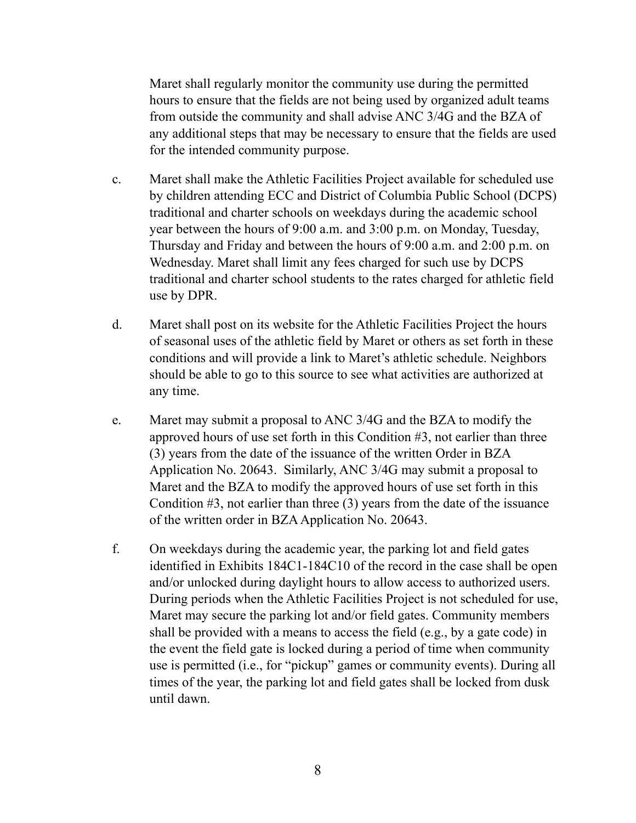Maret shall regularly monitor the community use during the permitted hours to ensure that the fields are not being used by organized adult teams from outside the community and shall advise ANC 3/4G and the BZA of any additional steps that may be necessary to ensure that the fields are used for the intended community purpose.

- c. Maret shall make the Athletic Facilities Project available for scheduled use by children attending ECC and District of Columbia Public School (DCPS) traditional and charter schools on weekdays during the academic school year between the hours of 9:00 a.m. and 3:00 p.m. on Monday, Tuesday, Thursday and Friday and between the hours of 9:00 a.m. and 2:00 p.m. on Wednesday. Maret shall limit any fees charged for such use by DCPS traditional and charter school students to the rates charged for athletic field use by DPR.
- d. Maret shall post on its website for the Athletic Facilities Project the hours of seasonal uses of the athletic field by Maret or others as set forth in these conditions and will provide a link to Maret's athletic schedule. Neighbors should be able to go to this source to see what activities are authorized at any time.
- e. Maret may submit a proposal to ANC 3/4G and the BZA to modify the approved hours of use set forth in this Condition #3, not earlier than three (3) years from the date of the issuance of the written Order in BZA Application No. 20643. Similarly, ANC 3/4G may submit a proposal to Maret and the BZA to modify the approved hours of use set forth in this Condition #3, not earlier than three (3) years from the date of the issuance of the written order in BZA Application No. 20643.
- f. On weekdays during the academic year, the parking lot and field gates identified in Exhibits 184C1-184C10 of the record in the case shall be open and/or unlocked during daylight hours to allow access to authorized users. During periods when the Athletic Facilities Project is not scheduled for use, Maret may secure the parking lot and/or field gates. Community members shall be provided with a means to access the field (e.g., by a gate code) in the event the field gate is locked during a period of time when community use is permitted (i.e., for "pickup" games or community events). During all times of the year, the parking lot and field gates shall be locked from dusk until dawn.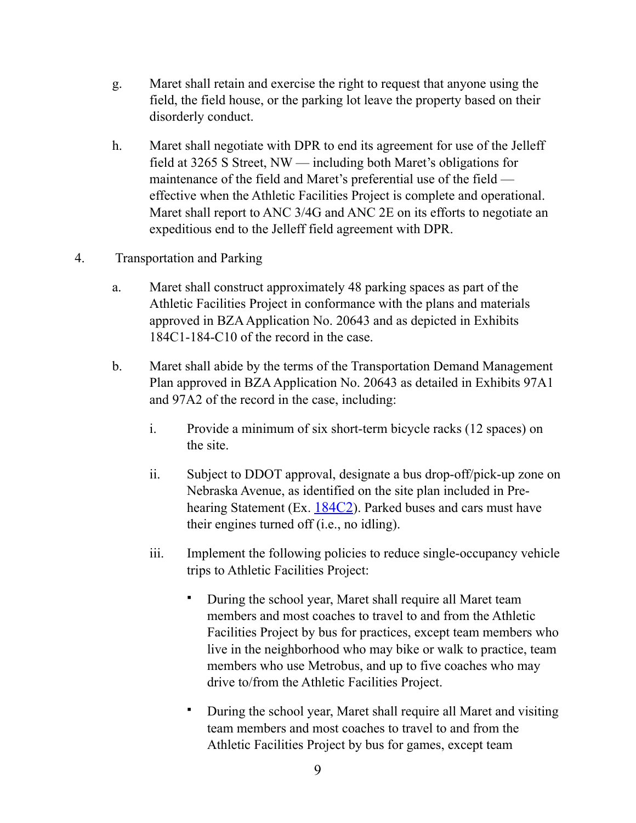- g. Maret shall retain and exercise the right to request that anyone using the field, the field house, or the parking lot leave the property based on their disorderly conduct.
- h. Maret shall negotiate with DPR to end its agreement for use of the Jelleff field at 3265 S Street, NW — including both Maret's obligations for maintenance of the field and Maret's preferential use of the field effective when the Athletic Facilities Project is complete and operational. Maret shall report to ANC 3/4G and ANC 2E on its efforts to negotiate an expeditious end to the Jelleff field agreement with DPR.

### 4. Transportation and Parking

- a. Maret shall construct approximately 48 parking spaces as part of the Athletic Facilities Project in conformance with the plans and materials approved in BZA Application No. 20643 and as depicted in Exhibits 184C1-184-C10 of the record in the case.
- b. Maret shall abide by the terms of the Transportation Demand Management Plan approved in BZA Application No. 20643 as detailed in Exhibits 97A1 and 97A2 of the record in the case, including:
	- i. Provide a minimum of six short-term bicycle racks (12 spaces) on the site.
	- ii. Subject to DDOT approval, designate a bus drop-off/pick-up zone on Nebraska Avenue, as identified on the site plan included in Pre-hearing Statement (Ex. [184C2](https://app.dcoz.dc.gov/Exhibits/2010/BZA/20643/Exhibit215.pdf)). Parked buses and cars must have their engines turned off (i.e., no idling).
	- iii. Implement the following policies to reduce single-occupancy vehicle trips to Athletic Facilities Project:
		- During the school year, Maret shall require all Maret team members and most coaches to travel to and from the Athletic Facilities Project by bus for practices, except team members who live in the neighborhood who may bike or walk to practice, team members who use Metrobus, and up to five coaches who may drive to/from the Athletic Facilities Project.
		- During the school year, Maret shall require all Maret and visiting team members and most coaches to travel to and from the Athletic Facilities Project by bus for games, except team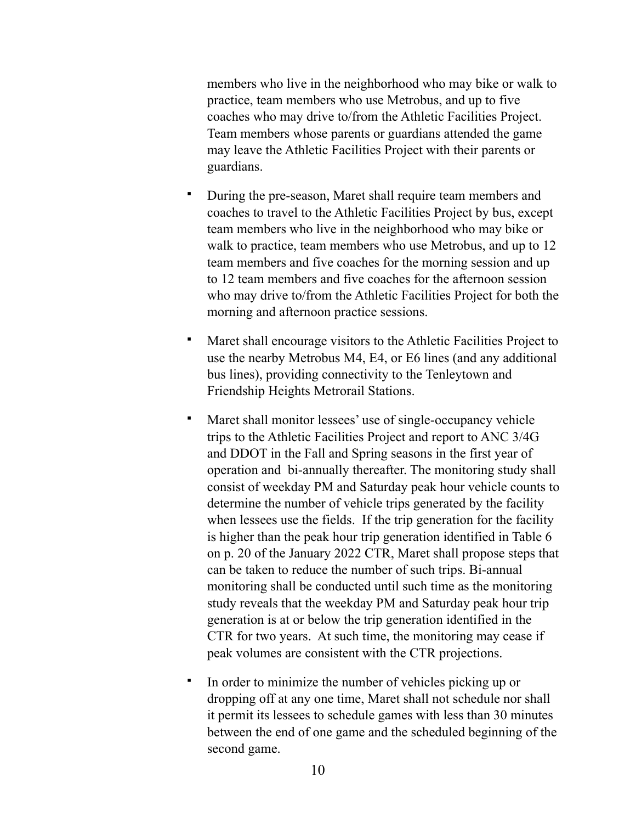members who live in the neighborhood who may bike or walk to practice, team members who use Metrobus, and up to five coaches who may drive to/from the Athletic Facilities Project. Team members whose parents or guardians attended the game may leave the Athletic Facilities Project with their parents or guardians.

- During the pre-season, Maret shall require team members and coaches to travel to the Athletic Facilities Project by bus, except team members who live in the neighborhood who may bike or walk to practice, team members who use Metrobus, and up to 12 team members and five coaches for the morning session and up to 12 team members and five coaches for the afternoon session who may drive to/from the Athletic Facilities Project for both the morning and afternoon practice sessions.
- Maret shall encourage visitors to the Athletic Facilities Project to use the nearby Metrobus M4, E4, or E6 lines (and any additional bus lines), providing connectivity to the Tenleytown and Friendship Heights Metrorail Stations.
- Maret shall monitor lessees' use of single-occupancy vehicle trips to the Athletic Facilities Project and report to ANC 3/4G and DDOT in the Fall and Spring seasons in the first year of operation and bi-annually thereafter. The monitoring study shall consist of weekday PM and Saturday peak hour vehicle counts to determine the number of vehicle trips generated by the facility when lessees use the fields. If the trip generation for the facility is higher than the peak hour trip generation identified in Table 6 on p. 20 of the January 2022 CTR, Maret shall propose steps that can be taken to reduce the number of such trips. Bi-annual monitoring shall be conducted until such time as the monitoring study reveals that the weekday PM and Saturday peak hour trip generation is at or below the trip generation identified in the CTR for two years. At such time, the monitoring may cease if peak volumes are consistent with the CTR projections.
- In order to minimize the number of vehicles picking up or dropping off at any one time, Maret shall not schedule nor shall it permit its lessees to schedule games with less than 30 minutes between the end of one game and the scheduled beginning of the second game.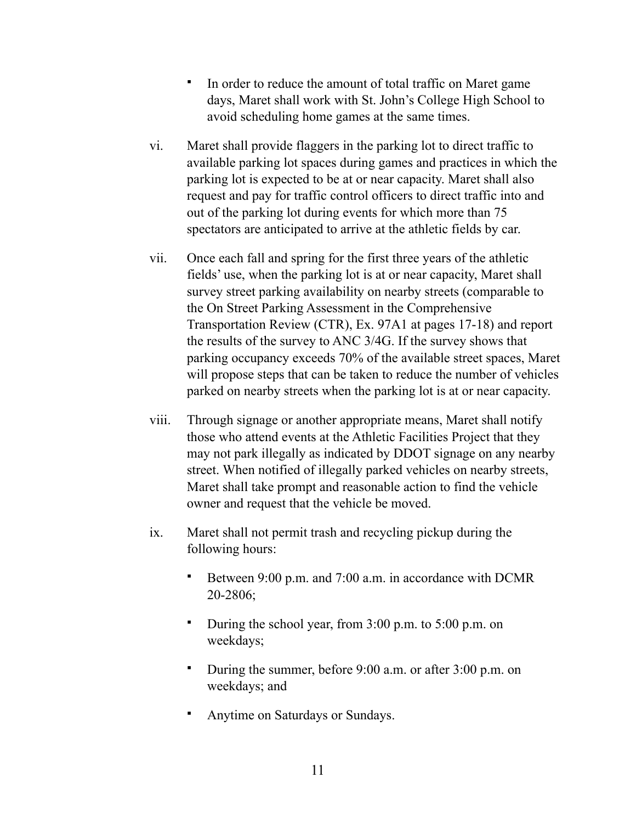- In order to reduce the amount of total traffic on Maret game days, Maret shall work with St. John's College High School to avoid scheduling home games at the same times.
- vi. Maret shall provide flaggers in the parking lot to direct traffic to available parking lot spaces during games and practices in which the parking lot is expected to be at or near capacity. Maret shall also request and pay for traffic control officers to direct traffic into and out of the parking lot during events for which more than 75 spectators are anticipated to arrive at the athletic fields by car.
- vii. Once each fall and spring for the first three years of the athletic fields' use, when the parking lot is at or near capacity, Maret shall survey street parking availability on nearby streets (comparable to the On Street Parking Assessment in the Comprehensive Transportation Review (CTR), Ex. 97A1 at pages 17-18) and report the results of the survey to ANC 3/4G. If the survey shows that parking occupancy exceeds 70% of the available street spaces, Maret will propose steps that can be taken to reduce the number of vehicles parked on nearby streets when the parking lot is at or near capacity.
- viii. Through signage or another appropriate means, Maret shall notify those who attend events at the Athletic Facilities Project that they may not park illegally as indicated by DDOT signage on any nearby street. When notified of illegally parked vehicles on nearby streets, Maret shall take prompt and reasonable action to find the vehicle owner and request that the vehicle be moved.
- ix. Maret shall not permit trash and recycling pickup during the following hours:
	- Between 9:00 p.m. and 7:00 a.m. in accordance with DCMR 20-2806;
	- **•** During the school year, from 3:00 p.m. to 5:00 p.m. on weekdays;
	- During the summer, before 9:00 a.m. or after 3:00 p.m. on weekdays; and
	- Anytime on Saturdays or Sundays.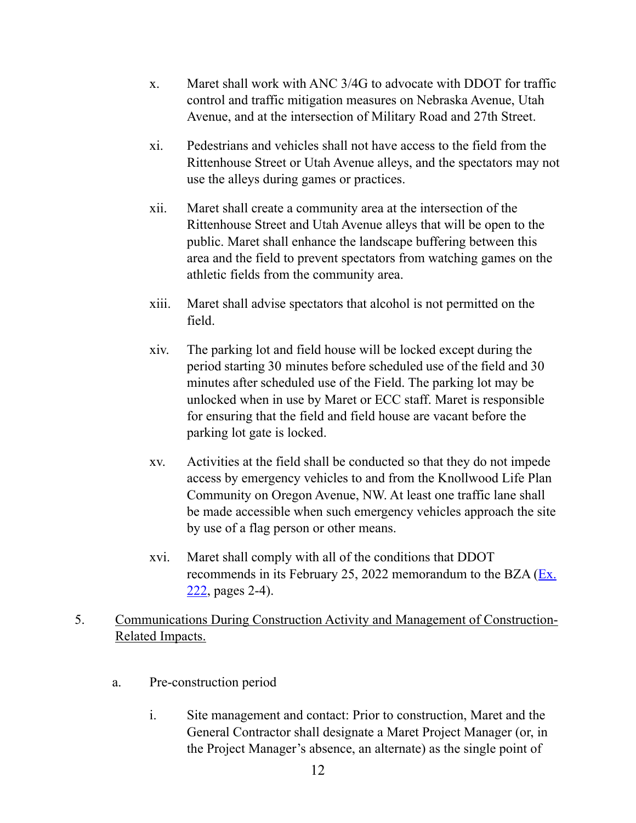- x. Maret shall work with ANC 3/4G to advocate with DDOT for traffic control and traffic mitigation measures on Nebraska Avenue, Utah Avenue, and at the intersection of Military Road and 27th Street.
- xi. Pedestrians and vehicles shall not have access to the field from the Rittenhouse Street or Utah Avenue alleys, and the spectators may not use the alleys during games or practices.
- xii. Maret shall create a community area at the intersection of the Rittenhouse Street and Utah Avenue alleys that will be open to the public. Maret shall enhance the landscape buffering between this area and the field to prevent spectators from watching games on the athletic fields from the community area.
- xiii. Maret shall advise spectators that alcohol is not permitted on the field.
- xiv. The parking lot and field house will be locked except during the period starting 30 minutes before scheduled use of the field and 30 minutes after scheduled use of the Field. The parking lot may be unlocked when in use by Maret or ECC staff. Maret is responsible for ensuring that the field and field house are vacant before the parking lot gate is locked.
- xv. Activities at the field shall be conducted so that they do not impede access by emergency vehicles to and from the Knollwood Life Plan Community on Oregon Avenue, NW. At least one traffic lane shall be made accessible when such emergency vehicles approach the site by use of a flag person or other means.
- xvi. Maret shall comply with all of the conditions that DDOT recommends in its February 25, 2022 memorandum to the BZA  $(Ex.$  $222$ , pages 2-4).
- 5. Communications During Construction Activity and Management of Construction-Related Impacts.
	- a. Pre-construction period
		- i. Site management and contact: Prior to construction, Maret and the General Contractor shall designate a Maret Project Manager (or, in the Project Manager's absence, an alternate) as the single point of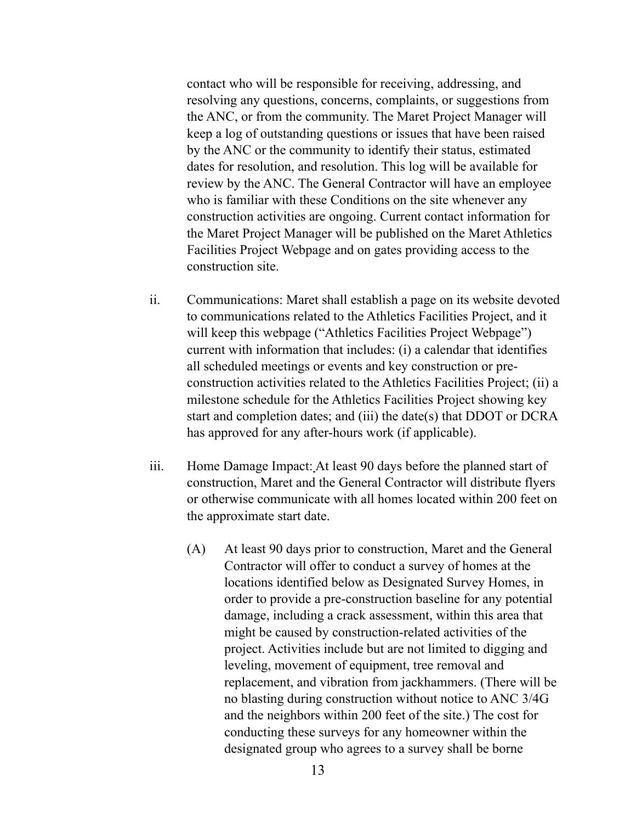contact who will be responsible for receiving, addressing, and resolving any questions, concerns, complaints, or suggestions from the ANC, or from the community. The Maret Project Manager will keep a log of outstanding questions or issues that have been raised by the ANC or the community to identify their status, estimated dates for resolution, and resolution. This log will be available for review by the ANC. The General Contractor will have an employee who is familiar with these Conditions on the site whenever any construction activities are ongoing. Current contact information for the Maret Project Manager will be published on the Maret Athletics Facilities Project Webpage and on gates providing access to the construction site.

- ii. Communications: Maret shall establish a page on its website devoted to communications related to the Athletics Facilities Project, and it will keep this webpage ("Athletics Facilities Project Webpage") current with information that includes: (i) a calendar that identifies all scheduled meetings or events and key construction or preconstruction activities related to the Athletics Facilities Project; (ii) a milestone schedule for the Athletics Facilities Project showing key start and completion dates; and (iii) the date(s) that DDOT or DCRA has approved for any after-hours work (if applicable).
- iii. Home Damage Impact: At least 90 days before the planned start of construction, Maret and the General Contractor will distribute flyers or otherwise communicate with all homes located within 200 feet on the approximate start date.
	- (A) At least 90 days prior to construction, Maret and the General Contractor will offer to conduct a survey of homes at the locations identified below as Designated Survey Homes, in order to provide a pre-construction baseline for any potential damage, including a crack assessment, within this area that might be caused by construction-related activities of the project. Activities include but are not limited to digging and leveling, movement of equipment, tree removal and replacement, and vibration from jackhammers. (There will be no blasting during construction without notice to ANC 3/4G and the neighbors within 200 feet of the site.) The cost for conducting these surveys for any homeowner within the designated group who agrees to a survey shall be borne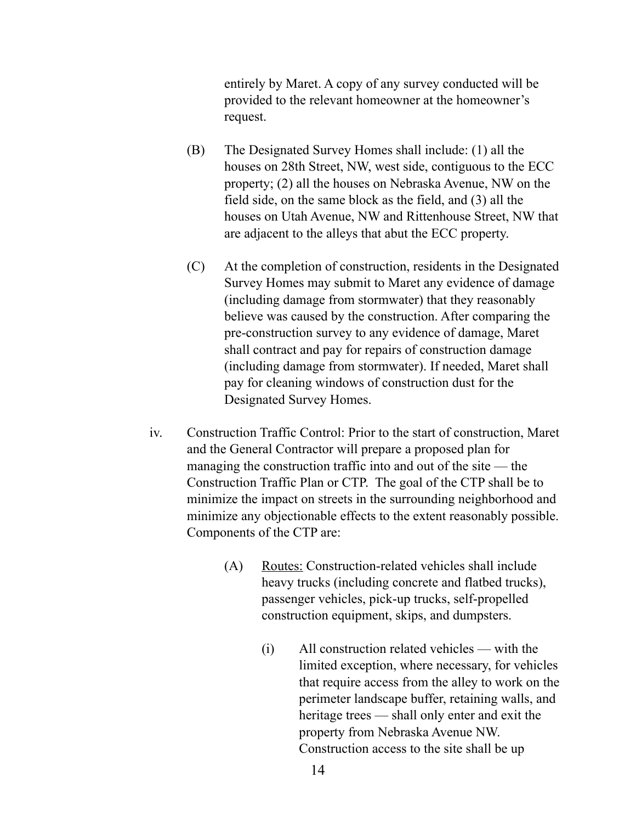entirely by Maret. A copy of any survey conducted will be provided to the relevant homeowner at the homeowner's request.

- (B) The Designated Survey Homes shall include: (1) all the houses on 28th Street, NW, west side, contiguous to the ECC property; (2) all the houses on Nebraska Avenue, NW on the field side, on the same block as the field, and (3) all the houses on Utah Avenue, NW and Rittenhouse Street, NW that are adjacent to the alleys that abut the ECC property.
- (C) At the completion of construction, residents in the Designated Survey Homes may submit to Maret any evidence of damage (including damage from stormwater) that they reasonably believe was caused by the construction. After comparing the pre-construction survey to any evidence of damage, Maret shall contract and pay for repairs of construction damage (including damage from stormwater). If needed, Maret shall pay for cleaning windows of construction dust for the Designated Survey Homes.
- iv. Construction Traffic Control: Prior to the start of construction, Maret and the General Contractor will prepare a proposed plan for managing the construction traffic into and out of the site — the Construction Traffic Plan or CTP. The goal of the CTP shall be to minimize the impact on streets in the surrounding neighborhood and minimize any objectionable effects to the extent reasonably possible. Components of the CTP are:
	- (A) Routes: Construction-related vehicles shall include heavy trucks (including concrete and flatbed trucks), passenger vehicles, pick-up trucks, self-propelled construction equipment, skips, and dumpsters.
		- (i) All construction related vehicles with the limited exception, where necessary, for vehicles that require access from the alley to work on the perimeter landscape buffer, retaining walls, and heritage trees — shall only enter and exit the property from Nebraska Avenue NW. Construction access to the site shall be up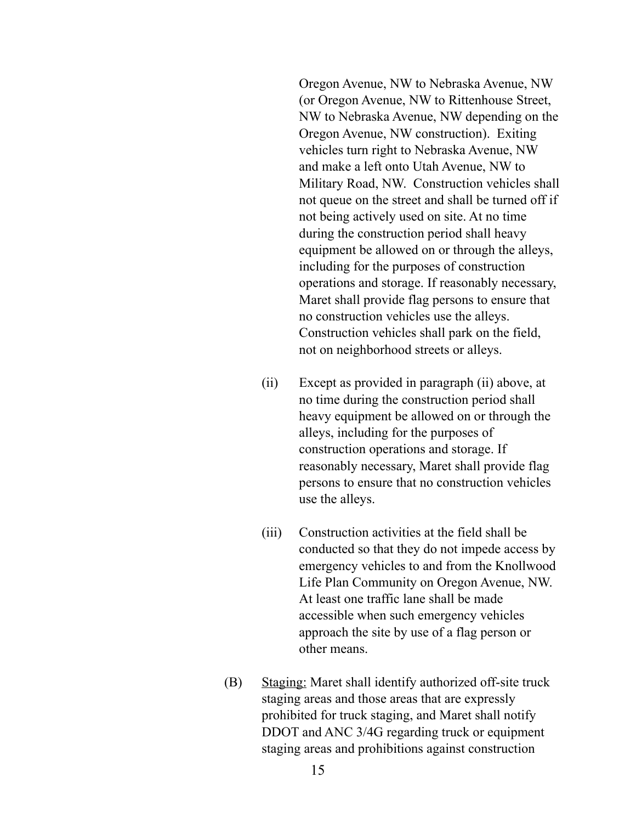Oregon Avenue, NW to Nebraska Avenue, NW (or Oregon Avenue, NW to Rittenhouse Street, NW to Nebraska Avenue, NW depending on the Oregon Avenue, NW construction). Exiting vehicles turn right to Nebraska Avenue, NW and make a left onto Utah Avenue, NW to Military Road, NW. Construction vehicles shall not queue on the street and shall be turned off if not being actively used on site. At no time during the construction period shall heavy equipment be allowed on or through the alleys, including for the purposes of construction operations and storage. If reasonably necessary, Maret shall provide flag persons to ensure that no construction vehicles use the alleys. Construction vehicles shall park on the field, not on neighborhood streets or alleys.

- (ii) Except as provided in paragraph (ii) above, at no time during the construction period shall heavy equipment be allowed on or through the alleys, including for the purposes of construction operations and storage. If reasonably necessary, Maret shall provide flag persons to ensure that no construction vehicles use the alleys.
- (iii) Construction activities at the field shall be conducted so that they do not impede access by emergency vehicles to and from the Knollwood Life Plan Community on Oregon Avenue, NW. At least one traffic lane shall be made accessible when such emergency vehicles approach the site by use of a flag person or other means.
- (B) Staging: Maret shall identify authorized off-site truck staging areas and those areas that are expressly prohibited for truck staging, and Maret shall notify DDOT and ANC 3/4G regarding truck or equipment staging areas and prohibitions against construction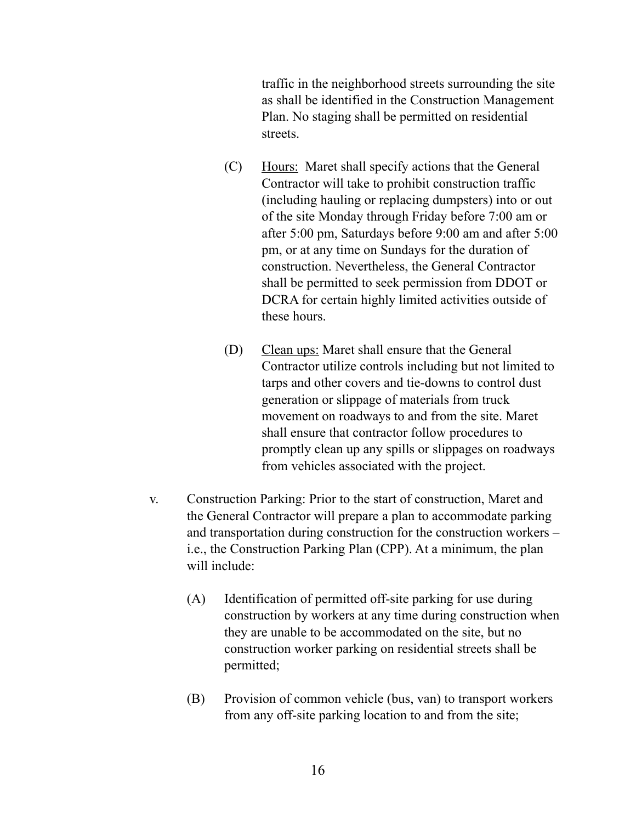traffic in the neighborhood streets surrounding the site as shall be identified in the Construction Management Plan. No staging shall be permitted on residential streets.

- (C) Hours: Maret shall specify actions that the General Contractor will take to prohibit construction traffic (including hauling or replacing dumpsters) into or out of the site Monday through Friday before 7:00 am or after 5:00 pm, Saturdays before 9:00 am and after 5:00 pm, or at any time on Sundays for the duration of construction. Nevertheless, the General Contractor shall be permitted to seek permission from DDOT or DCRA for certain highly limited activities outside of these hours.
- (D) Clean ups: Maret shall ensure that the General Contractor utilize controls including but not limited to tarps and other covers and tie-downs to control dust generation or slippage of materials from truck movement on roadways to and from the site. Maret shall ensure that contractor follow procedures to promptly clean up any spills or slippages on roadways from vehicles associated with the project.
- v. Construction Parking: Prior to the start of construction, Maret and the General Contractor will prepare a plan to accommodate parking and transportation during construction for the construction workers – i.e., the Construction Parking Plan (CPP). At a minimum, the plan will include:
	- (A) Identification of permitted off-site parking for use during construction by workers at any time during construction when they are unable to be accommodated on the site, but no construction worker parking on residential streets shall be permitted;
	- (B) Provision of common vehicle (bus, van) to transport workers from any off-site parking location to and from the site;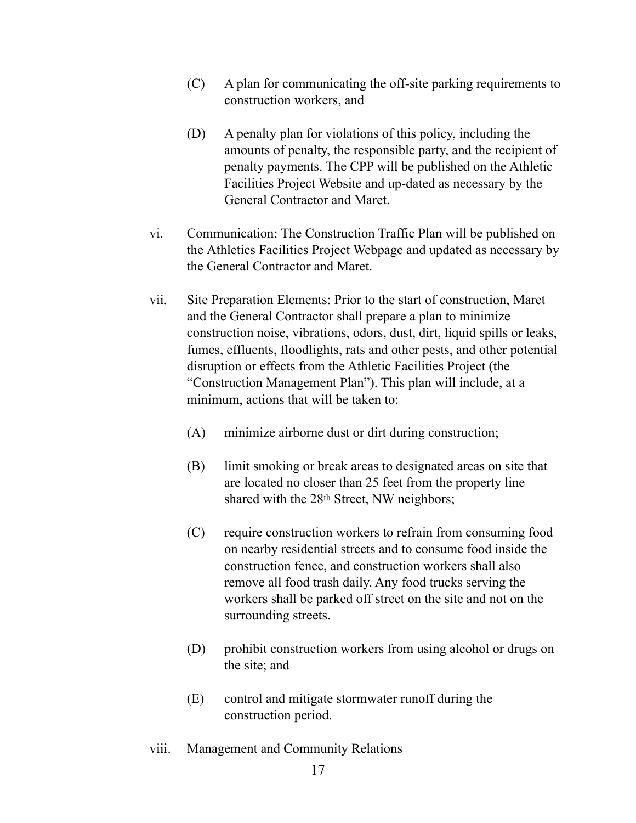- (C) A plan for communicating the off-site parking requirements to construction workers, and
- (D) A penalty plan for violations of this policy, including the amounts of penalty, the responsible party, and the recipient of penalty payments. The CPP will be published on the Athletic Facilities Project Website and up-dated as necessary by the General Contractor and Maret.
- vi. Communication: The Construction Traffic Plan will be published on the Athletics Facilities Project Webpage and updated as necessary by the General Contractor and Maret.
- vii. Site Preparation Elements: Prior to the start of construction, Maret and the General Contractor shall prepare a plan to minimize construction noise, vibrations, odors, dust, dirt, liquid spills or leaks, fumes, effluents, floodlights, rats and other pests, and other potential disruption or effects from the Athletic Facilities Project (the "Construction Management Plan"). This plan will include, at a minimum, actions that will be taken to:
	- (A) minimize airborne dust or dirt during construction;
	- (B) limit smoking or break areas to designated areas on site that are located no closer than 25 feet from the property line shared with the 28<sup>th</sup> Street, NW neighbors;
	- (C) require construction workers to refrain from consuming food on nearby residential streets and to consume food inside the construction fence, and construction workers shall also remove all food trash daily. Any food trucks serving the workers shall be parked off street on the site and not on the surrounding streets.
	- (D) prohibit construction workers from using alcohol or drugs on the site; and
	- (E) control and mitigate stormwater runoff during the construction period.
- viii. Management and Community Relations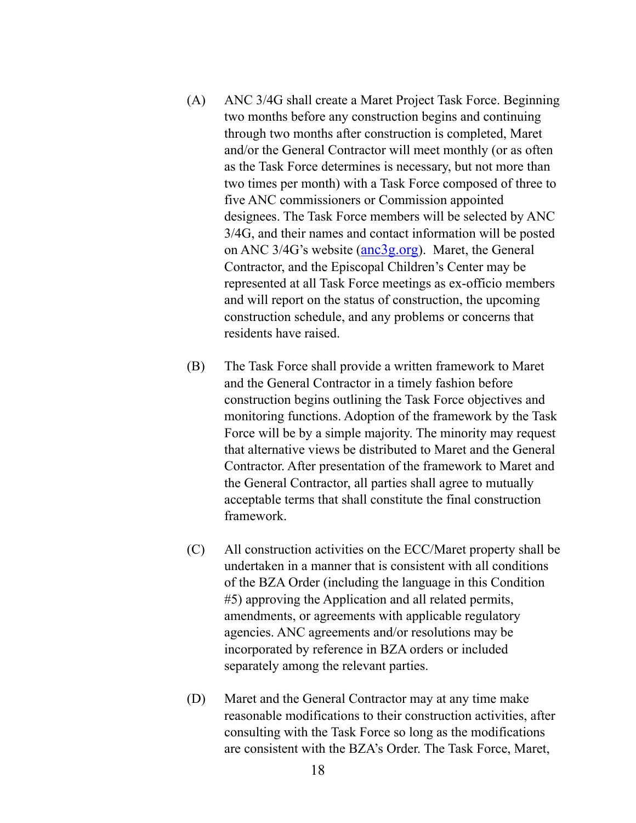- (A) ANC 3/4G shall create a Maret Project Task Force. Beginning two months before any construction begins and continuing through two months after construction is completed, Maret and/or the General Contractor will meet monthly (or as often as the Task Force determines is necessary, but not more than two times per month) with a Task Force composed of three to five ANC commissioners or Commission appointed designees. The Task Force members will be selected by ANC 3/4G, and their names and contact information will be posted on ANC  $3/4G$ 's website (anc $3g.org$ ). Maret, the General Contractor, and the Episcopal Children's Center may be represented at all Task Force meetings as ex-officio members and will report on the status of construction, the upcoming construction schedule, and any problems or concerns that residents have raised.
- (B) The Task Force shall provide a written framework to Maret and the General Contractor in a timely fashion before construction begins outlining the Task Force objectives and monitoring functions. Adoption of the framework by the Task Force will be by a simple majority. The minority may request that alternative views be distributed to Maret and the General Contractor. After presentation of the framework to Maret and the General Contractor, all parties shall agree to mutually acceptable terms that shall constitute the final construction framework.
- (C) All construction activities on the ECC/Maret property shall be undertaken in a manner that is consistent with all conditions of the BZA Order (including the language in this Condition #5) approving the Application and all related permits, amendments, or agreements with applicable regulatory agencies. ANC agreements and/or resolutions may be incorporated by reference in BZA orders or included separately among the relevant parties.
- (D) Maret and the General Contractor may at any time make reasonable modifications to their construction activities, after consulting with the Task Force so long as the modifications are consistent with the BZA's Order. The Task Force, Maret,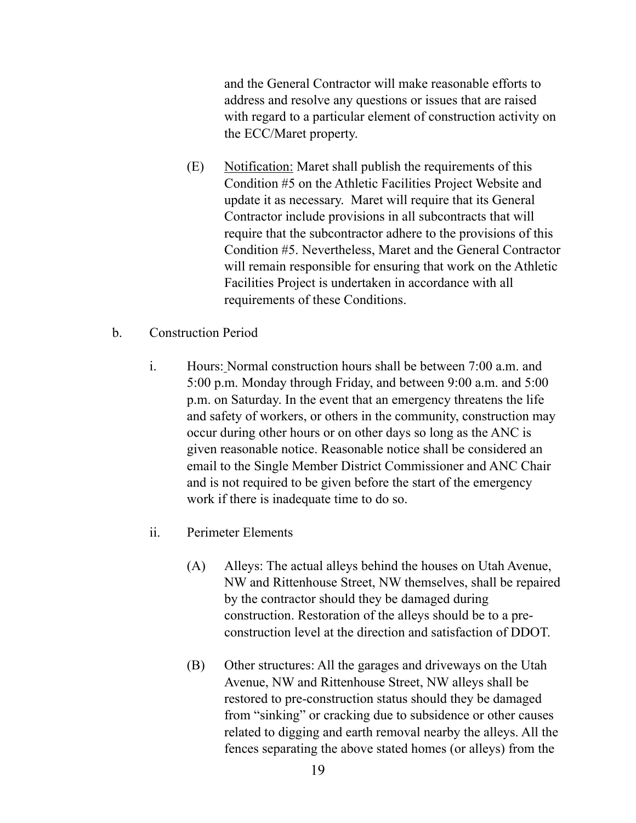and the General Contractor will make reasonable efforts to address and resolve any questions or issues that are raised with regard to a particular element of construction activity on the ECC/Maret property.

- (E) Notification: Maret shall publish the requirements of this Condition #5 on the Athletic Facilities Project Website and update it as necessary. Maret will require that its General Contractor include provisions in all subcontracts that will require that the subcontractor adhere to the provisions of this Condition #5. Nevertheless, Maret and the General Contractor will remain responsible for ensuring that work on the Athletic Facilities Project is undertaken in accordance with all requirements of these Conditions.
- b. Construction Period
	- i. Hours: Normal construction hours shall be between 7:00 a.m. and 5:00 p.m. Monday through Friday, and between 9:00 a.m. and 5:00 p.m. on Saturday. In the event that an emergency threatens the life and safety of workers, or others in the community, construction may occur during other hours or on other days so long as the ANC is given reasonable notice. Reasonable notice shall be considered an email to the Single Member District Commissioner and ANC Chair and is not required to be given before the start of the emergency work if there is inadequate time to do so.
	- ii. Perimeter Elements
		- (A) Alleys: The actual alleys behind the houses on Utah Avenue, NW and Rittenhouse Street, NW themselves, shall be repaired by the contractor should they be damaged during construction. Restoration of the alleys should be to a preconstruction level at the direction and satisfaction of DDOT.
		- (B) Other structures: All the garages and driveways on the Utah Avenue, NW and Rittenhouse Street, NW alleys shall be restored to pre-construction status should they be damaged from "sinking" or cracking due to subsidence or other causes related to digging and earth removal nearby the alleys. All the fences separating the above stated homes (or alleys) from the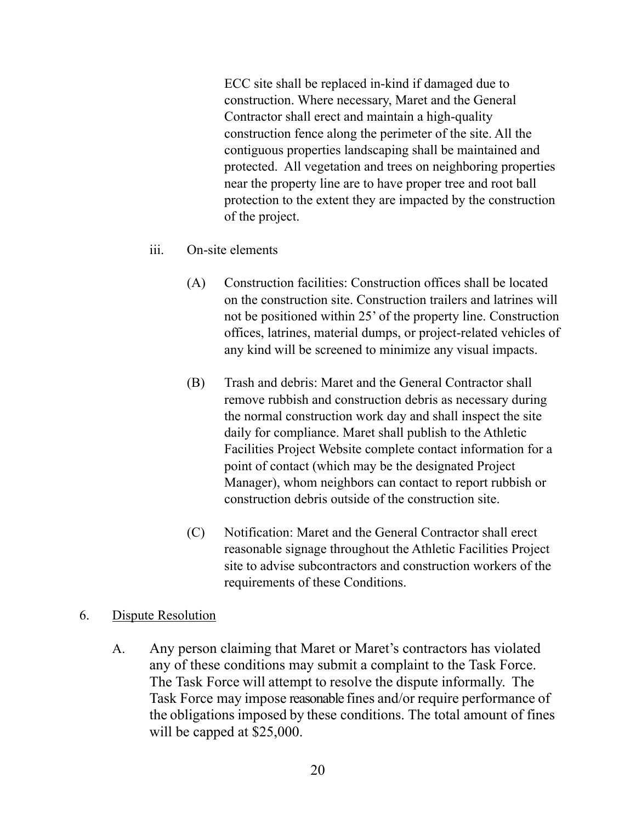ECC site shall be replaced in-kind if damaged due to construction. Where necessary, Maret and the General Contractor shall erect and maintain a high-quality construction fence along the perimeter of the site. All the contiguous properties landscaping shall be maintained and protected. All vegetation and trees on neighboring properties near the property line are to have proper tree and root ball protection to the extent they are impacted by the construction of the project.

- iii. On-site elements
	- (A) Construction facilities: Construction offices shall be located on the construction site. Construction trailers and latrines will not be positioned within 25' of the property line. Construction offices, latrines, material dumps, or project-related vehicles of any kind will be screened to minimize any visual impacts.
	- (B) Trash and debris: Maret and the General Contractor shall remove rubbish and construction debris as necessary during the normal construction work day and shall inspect the site daily for compliance. Maret shall publish to the Athletic Facilities Project Website complete contact information for a point of contact (which may be the designated Project Manager), whom neighbors can contact to report rubbish or construction debris outside of the construction site.
	- (C) Notification: Maret and the General Contractor shall erect reasonable signage throughout the Athletic Facilities Project site to advise subcontractors and construction workers of the requirements of these Conditions.

#### 6. Dispute Resolution

A. Any person claiming that Maret or Maret's contractors has violated any of these conditions may submit a complaint to the Task Force. The Task Force will attempt to resolve the dispute informally. The Task Force may impose reasonable fines and/or require performance of the obligations imposed by these conditions. The total amount of fines will be capped at \$25,000.